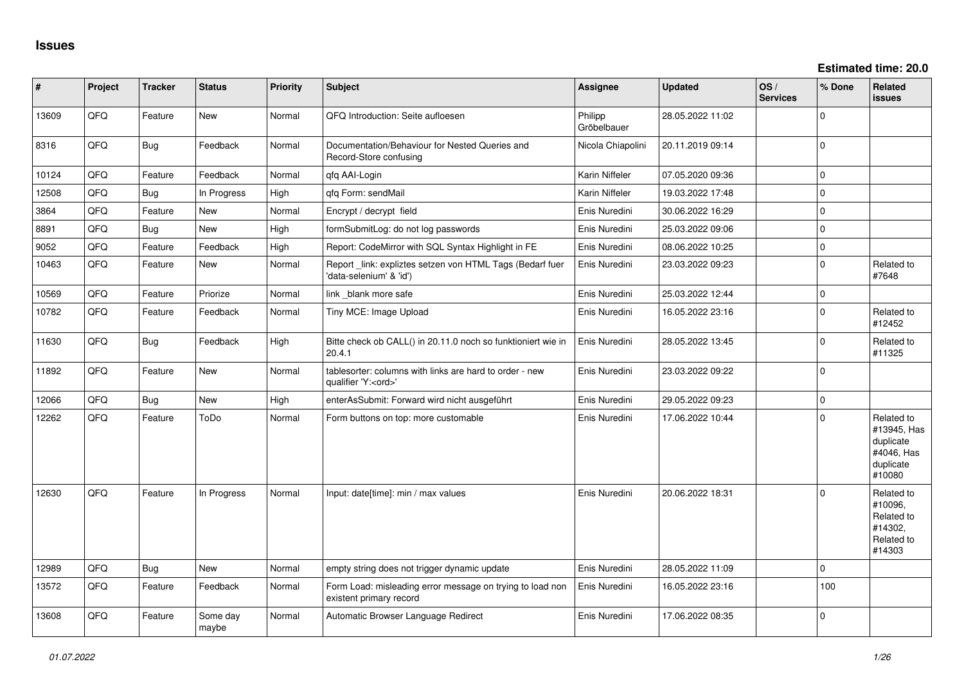| $\vert$ # | Project | <b>Tracker</b> | <b>Status</b>     | <b>Priority</b> | <b>Subject</b>                                                                        | <b>Assignee</b>        | <b>Updated</b>   | OS/<br><b>Services</b> | % Done      | Related<br><b>issues</b>                                                    |
|-----------|---------|----------------|-------------------|-----------------|---------------------------------------------------------------------------------------|------------------------|------------------|------------------------|-------------|-----------------------------------------------------------------------------|
| 13609     | QFQ     | Feature        | New               | Normal          | QFQ Introduction: Seite aufloesen                                                     | Philipp<br>Gröbelbauer | 28.05.2022 11:02 |                        | $\Omega$    |                                                                             |
| 8316      | QFQ     | <b>Bug</b>     | Feedback          | Normal          | Documentation/Behaviour for Nested Queries and<br>Record-Store confusing              | Nicola Chiapolini      | 20.11.2019 09:14 |                        | $\mathbf 0$ |                                                                             |
| 10124     | QFQ     | Feature        | Feedback          | Normal          | qfq AAI-Login                                                                         | Karin Niffeler         | 07.05.2020 09:36 |                        | $\Omega$    |                                                                             |
| 12508     | QFQ     | Bug            | In Progress       | High            | gfg Form: sendMail                                                                    | Karin Niffeler         | 19.03.2022 17:48 |                        | $\Omega$    |                                                                             |
| 3864      | QFQ     | Feature        | <b>New</b>        | Normal          | Encrypt / decrypt field                                                               | Enis Nuredini          | 30.06.2022 16:29 |                        | $\mathbf 0$ |                                                                             |
| 8891      | QFQ     | Bug            | <b>New</b>        | High            | formSubmitLog: do not log passwords                                                   | Enis Nuredini          | 25.03.2022 09:06 |                        | $\mathbf 0$ |                                                                             |
| 9052      | QFQ     | Feature        | Feedback          | High            | Report: CodeMirror with SQL Syntax Highlight in FE                                    | Enis Nuredini          | 08.06.2022 10:25 |                        | $\mathbf 0$ |                                                                             |
| 10463     | QFQ     | Feature        | New               | Normal          | Report _link: expliztes setzen von HTML Tags (Bedarf fuer<br>'data-selenium' & 'id')  | Enis Nuredini          | 23.03.2022 09:23 |                        | $\mathbf 0$ | Related to<br>#7648                                                         |
| 10569     | QFQ     | Feature        | Priorize          | Normal          | link _blank more safe                                                                 | Enis Nuredini          | 25.03.2022 12:44 |                        | $\pmb{0}$   |                                                                             |
| 10782     | QFQ     | Feature        | Feedback          | Normal          | Tiny MCE: Image Upload                                                                | Enis Nuredini          | 16.05.2022 23:16 |                        | $\mathbf 0$ | Related to<br>#12452                                                        |
| 11630     | QFQ     | Bug            | Feedback          | High            | Bitte check ob CALL() in 20.11.0 noch so funktioniert wie in<br>20.4.1                | Enis Nuredini          | 28.05.2022 13:45 |                        | $\mathbf 0$ | Related to<br>#11325                                                        |
| 11892     | QFQ     | Feature        | New               | Normal          | tablesorter: columns with links are hard to order - new<br>qualifier 'Y: <ord>'</ord> | Enis Nuredini          | 23.03.2022 09:22 |                        | $\mathbf 0$ |                                                                             |
| 12066     | QFQ     | Bug            | New               | High            | enterAsSubmit: Forward wird nicht ausgeführt                                          | Enis Nuredini          | 29.05.2022 09:23 |                        | $\mathbf 0$ |                                                                             |
| 12262     | QFQ     | Feature        | ToDo              | Normal          | Form buttons on top: more customable                                                  | Enis Nuredini          | 17.06.2022 10:44 |                        | $\mathbf 0$ | Related to<br>#13945, Has<br>duplicate<br>#4046, Has<br>duplicate<br>#10080 |
| 12630     | QFQ     | Feature        | In Progress       | Normal          | Input: date[time]: min / max values                                                   | Enis Nuredini          | 20.06.2022 18:31 |                        | $\Omega$    | Related to<br>#10096,<br>Related to<br>#14302,<br>Related to<br>#14303      |
| 12989     | QFQ     | Bug            | New               | Normal          | empty string does not trigger dynamic update                                          | Enis Nuredini          | 28.05.2022 11:09 |                        | $\mathbf 0$ |                                                                             |
| 13572     | QFQ     | Feature        | Feedback          | Normal          | Form Load: misleading error message on trying to load non<br>existent primary record  | Enis Nuredini          | 16.05.2022 23:16 |                        | 100         |                                                                             |
| 13608     | QFQ     | Feature        | Some day<br>maybe | Normal          | Automatic Browser Language Redirect                                                   | Enis Nuredini          | 17.06.2022 08:35 |                        | $\mathbf 0$ |                                                                             |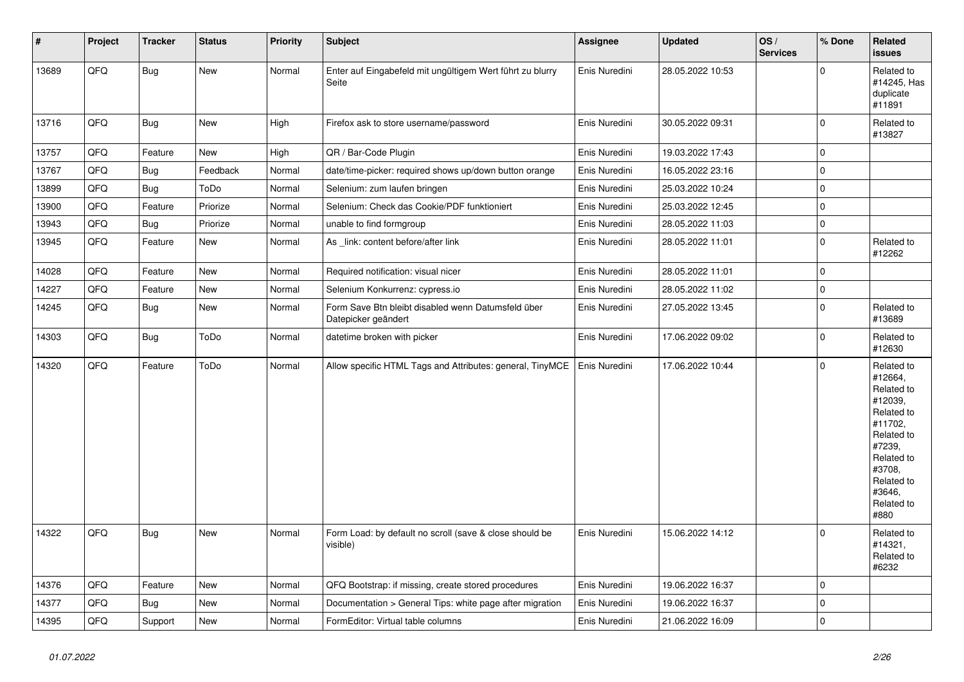| #     | Project | <b>Tracker</b> | <b>Status</b> | <b>Priority</b> | <b>Subject</b>                                                            | Assignee      | <b>Updated</b>   | OS/<br><b>Services</b> | % Done      | Related<br><b>issues</b>                                                                                                                                              |
|-------|---------|----------------|---------------|-----------------|---------------------------------------------------------------------------|---------------|------------------|------------------------|-------------|-----------------------------------------------------------------------------------------------------------------------------------------------------------------------|
| 13689 | QFQ     | <b>Bug</b>     | New           | Normal          | Enter auf Eingabefeld mit ungültigem Wert führt zu blurry<br>Seite        | Enis Nuredini | 28.05.2022 10:53 |                        | $\Omega$    | Related to<br>#14245, Has<br>duplicate<br>#11891                                                                                                                      |
| 13716 | QFQ     | Bug            | New           | High            | Firefox ask to store username/password                                    | Enis Nuredini | 30.05.2022 09:31 |                        | $\mathbf 0$ | Related to<br>#13827                                                                                                                                                  |
| 13757 | QFQ     | Feature        | New           | High            | QR / Bar-Code Plugin                                                      | Enis Nuredini | 19.03.2022 17:43 |                        | $\mathbf 0$ |                                                                                                                                                                       |
| 13767 | QFQ     | <b>Bug</b>     | Feedback      | Normal          | date/time-picker: required shows up/down button orange                    | Enis Nuredini | 16.05.2022 23:16 |                        | 0           |                                                                                                                                                                       |
| 13899 | QFQ     | <b>Bug</b>     | ToDo          | Normal          | Selenium: zum laufen bringen                                              | Enis Nuredini | 25.03.2022 10:24 |                        | $\mathbf 0$ |                                                                                                                                                                       |
| 13900 | QFQ     | Feature        | Priorize      | Normal          | Selenium: Check das Cookie/PDF funktioniert                               | Enis Nuredini | 25.03.2022 12:45 |                        | $\pmb{0}$   |                                                                                                                                                                       |
| 13943 | QFQ     | <b>Bug</b>     | Priorize      | Normal          | unable to find formgroup                                                  | Enis Nuredini | 28.05.2022 11:03 |                        | $\pmb{0}$   |                                                                                                                                                                       |
| 13945 | QFQ     | Feature        | New           | Normal          | As _link: content before/after link                                       | Enis Nuredini | 28.05.2022 11:01 |                        | $\mathbf 0$ | Related to<br>#12262                                                                                                                                                  |
| 14028 | QFQ     | Feature        | New           | Normal          | Required notification: visual nicer                                       | Enis Nuredini | 28.05.2022 11:01 |                        | $\mathbf 0$ |                                                                                                                                                                       |
| 14227 | QFQ     | Feature        | New           | Normal          | Selenium Konkurrenz: cypress.io                                           | Enis Nuredini | 28.05.2022 11:02 |                        | $\mathbf 0$ |                                                                                                                                                                       |
| 14245 | QFQ     | Bug            | New           | Normal          | Form Save Btn bleibt disabled wenn Datumsfeld über<br>Datepicker geändert | Enis Nuredini | 27.05.2022 13:45 |                        | $\mathbf 0$ | Related to<br>#13689                                                                                                                                                  |
| 14303 | QFQ     | <b>Bug</b>     | ToDo          | Normal          | datetime broken with picker                                               | Enis Nuredini | 17.06.2022 09:02 |                        | $\Omega$    | Related to<br>#12630                                                                                                                                                  |
| 14320 | QFQ     | Feature        | ToDo          | Normal          | Allow specific HTML Tags and Attributes: general, TinyMCE                 | Enis Nuredini | 17.06.2022 10:44 |                        | $\Omega$    | Related to<br>#12664,<br>Related to<br>#12039,<br>Related to<br>#11702,<br>Related to<br>#7239,<br>Related to<br>#3708,<br>Related to<br>#3646,<br>Related to<br>#880 |
| 14322 | QFQ     | <b>Bug</b>     | New           | Normal          | Form Load: by default no scroll (save & close should be<br>visible)       | Enis Nuredini | 15.06.2022 14:12 |                        | $\Omega$    | Related to<br>#14321,<br>Related to<br>#6232                                                                                                                          |
| 14376 | QFQ     | Feature        | <b>New</b>    | Normal          | QFQ Bootstrap: if missing, create stored procedures                       | Enis Nuredini | 19.06.2022 16:37 |                        | $\mathbf 0$ |                                                                                                                                                                       |
| 14377 | QFQ     | <b>Bug</b>     | New           | Normal          | Documentation > General Tips: white page after migration                  | Enis Nuredini | 19.06.2022 16:37 |                        | $\mathbf 0$ |                                                                                                                                                                       |
| 14395 | QFQ     | Support        | New           | Normal          | FormEditor: Virtual table columns                                         | Enis Nuredini | 21.06.2022 16:09 |                        | $\mathbf 0$ |                                                                                                                                                                       |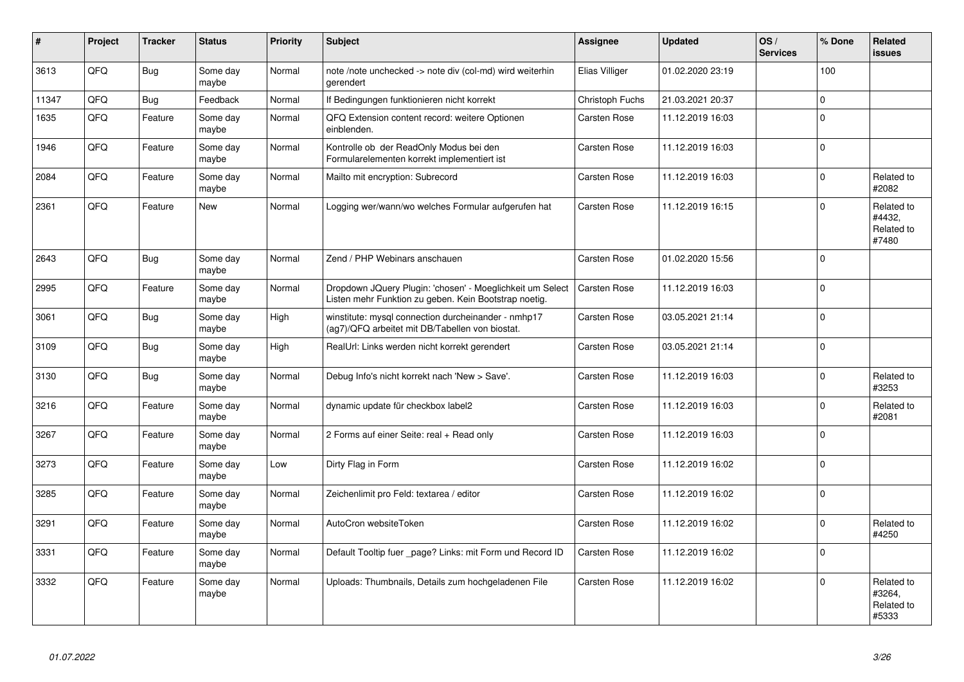| #     | <b>Project</b> | <b>Tracker</b> | <b>Status</b>     | <b>Priority</b> | <b>Subject</b>                                                                                                     | Assignee            | <b>Updated</b>   | OS/<br><b>Services</b> | % Done   | Related<br>issues                           |
|-------|----------------|----------------|-------------------|-----------------|--------------------------------------------------------------------------------------------------------------------|---------------------|------------------|------------------------|----------|---------------------------------------------|
| 3613  | QFQ            | Bug            | Some day<br>maybe | Normal          | note /note unchecked -> note div (col-md) wird weiterhin<br>gerendert                                              | Elias Villiger      | 01.02.2020 23:19 |                        | 100      |                                             |
| 11347 | QFQ            | <b>Bug</b>     | Feedback          | Normal          | If Bedingungen funktionieren nicht korrekt                                                                         | Christoph Fuchs     | 21.03.2021 20:37 |                        | $\Omega$ |                                             |
| 1635  | QFQ            | Feature        | Some day<br>maybe | Normal          | QFQ Extension content record: weitere Optionen<br>einblenden.                                                      | Carsten Rose        | 11.12.2019 16:03 |                        | $\Omega$ |                                             |
| 1946  | QFQ            | Feature        | Some day<br>maybe | Normal          | Kontrolle ob der ReadOnly Modus bei den<br>Formularelementen korrekt implementiert ist                             | Carsten Rose        | 11.12.2019 16:03 |                        | $\Omega$ |                                             |
| 2084  | QFQ            | Feature        | Some day<br>maybe | Normal          | Mailto mit encryption: Subrecord                                                                                   | Carsten Rose        | 11.12.2019 16:03 |                        | $\Omega$ | Related to<br>#2082                         |
| 2361  | QFQ            | Feature        | New               | Normal          | Logging wer/wann/wo welches Formular aufgerufen hat                                                                | Carsten Rose        | 11.12.2019 16:15 |                        | $\Omega$ | Related to<br>#4432,<br>Related to<br>#7480 |
| 2643  | QFQ            | Bug            | Some day<br>maybe | Normal          | Zend / PHP Webinars anschauen                                                                                      | Carsten Rose        | 01.02.2020 15:56 |                        | $\Omega$ |                                             |
| 2995  | QFQ            | Feature        | Some day<br>maybe | Normal          | Dropdown JQuery Plugin: 'chosen' - Moeglichkeit um Select<br>Listen mehr Funktion zu geben. Kein Bootstrap noetig. | Carsten Rose        | 11.12.2019 16:03 |                        | $\Omega$ |                                             |
| 3061  | QFQ            | Bug            | Some day<br>maybe | High            | winstitute: mysql connection durcheinander - nmhp17<br>(ag7)/QFQ arbeitet mit DB/Tabellen von biostat.             | Carsten Rose        | 03.05.2021 21:14 |                        | $\Omega$ |                                             |
| 3109  | QFQ            | Bug            | Some day<br>maybe | High            | RealUrl: Links werden nicht korrekt gerendert                                                                      | Carsten Rose        | 03.05.2021 21:14 |                        | $\Omega$ |                                             |
| 3130  | QFQ            | <b>Bug</b>     | Some day<br>maybe | Normal          | Debug Info's nicht korrekt nach 'New > Save'.                                                                      | Carsten Rose        | 11.12.2019 16:03 |                        | $\Omega$ | Related to<br>#3253                         |
| 3216  | QFQ            | Feature        | Some day<br>maybe | Normal          | dynamic update für checkbox label2                                                                                 | Carsten Rose        | 11.12.2019 16:03 |                        | $\Omega$ | Related to<br>#2081                         |
| 3267  | QFQ            | Feature        | Some day<br>maybe | Normal          | 2 Forms auf einer Seite: real + Read only                                                                          | Carsten Rose        | 11.12.2019 16:03 |                        | $\Omega$ |                                             |
| 3273  | QFQ            | Feature        | Some day<br>maybe | Low             | Dirty Flag in Form                                                                                                 | Carsten Rose        | 11.12.2019 16:02 |                        | $\Omega$ |                                             |
| 3285  | QFQ            | Feature        | Some day<br>maybe | Normal          | Zeichenlimit pro Feld: textarea / editor                                                                           | Carsten Rose        | 11.12.2019 16:02 |                        | $\Omega$ |                                             |
| 3291  | QFQ            | Feature        | Some day<br>maybe | Normal          | AutoCron websiteToken                                                                                              | Carsten Rose        | 11.12.2019 16:02 |                        | $\Omega$ | Related to<br>#4250                         |
| 3331  | QFQ            | Feature        | Some day<br>maybe | Normal          | Default Tooltip fuer _page? Links: mit Form und Record ID                                                          | Carsten Rose        | 11.12.2019 16:02 |                        | $\Omega$ |                                             |
| 3332  | QFQ            | Feature        | Some day<br>maybe | Normal          | Uploads: Thumbnails, Details zum hochgeladenen File                                                                | <b>Carsten Rose</b> | 11.12.2019 16:02 |                        | $\Omega$ | Related to<br>#3264,<br>Related to<br>#5333 |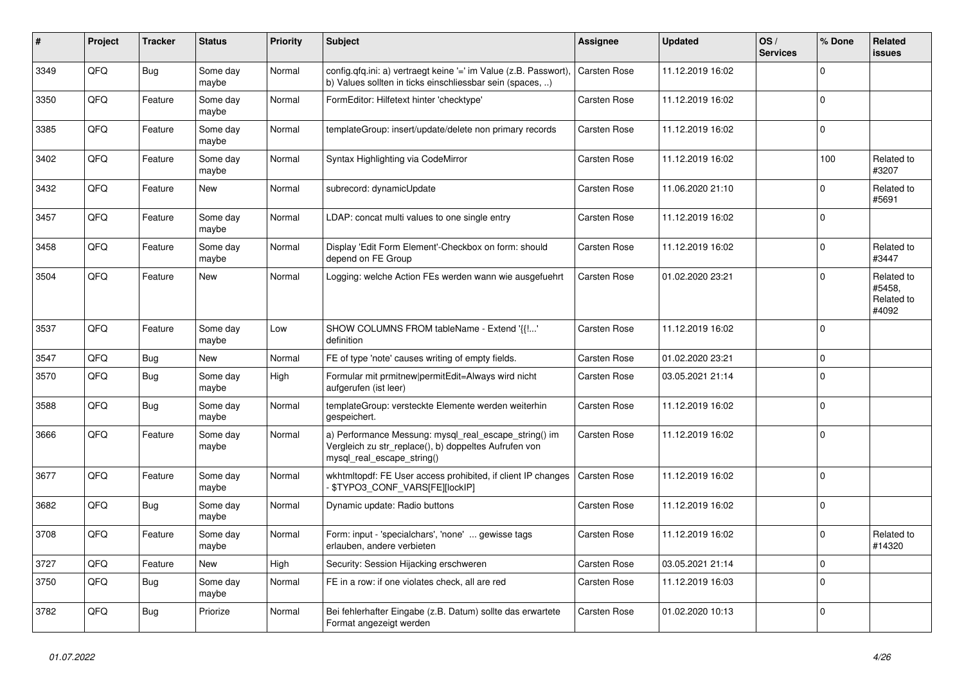| $\vert$ # | Project | <b>Tracker</b> | <b>Status</b>     | <b>Priority</b> | <b>Subject</b>                                                                                                                               | Assignee            | <b>Updated</b>   | OS/<br><b>Services</b> | % Done   | Related<br>issues                           |
|-----------|---------|----------------|-------------------|-----------------|----------------------------------------------------------------------------------------------------------------------------------------------|---------------------|------------------|------------------------|----------|---------------------------------------------|
| 3349      | QFQ     | <b>Bug</b>     | Some day<br>maybe | Normal          | config.qfq.ini: a) vertraegt keine '=' im Value (z.B. Passwort),<br>b) Values sollten in ticks einschliessbar sein (spaces, )                | Carsten Rose        | 11.12.2019 16:02 |                        | $\Omega$ |                                             |
| 3350      | QFQ     | Feature        | Some day<br>maybe | Normal          | FormEditor: Hilfetext hinter 'checktype'                                                                                                     | <b>Carsten Rose</b> | 11.12.2019 16:02 |                        | $\Omega$ |                                             |
| 3385      | QFQ     | Feature        | Some day<br>maybe | Normal          | templateGroup: insert/update/delete non primary records                                                                                      | Carsten Rose        | 11.12.2019 16:02 |                        | $\Omega$ |                                             |
| 3402      | QFQ     | Feature        | Some day<br>maybe | Normal          | Syntax Highlighting via CodeMirror                                                                                                           | Carsten Rose        | 11.12.2019 16:02 |                        | 100      | Related to<br>#3207                         |
| 3432      | QFQ     | Feature        | <b>New</b>        | Normal          | subrecord: dynamicUpdate                                                                                                                     | <b>Carsten Rose</b> | 11.06.2020 21:10 |                        | $\Omega$ | Related to<br>#5691                         |
| 3457      | QFQ     | Feature        | Some day<br>maybe | Normal          | LDAP: concat multi values to one single entry                                                                                                | Carsten Rose        | 11.12.2019 16:02 |                        | $\Omega$ |                                             |
| 3458      | QFQ     | Feature        | Some day<br>maybe | Normal          | Display 'Edit Form Element'-Checkbox on form: should<br>depend on FE Group                                                                   | Carsten Rose        | 11.12.2019 16:02 |                        | $\Omega$ | Related to<br>#3447                         |
| 3504      | QFQ     | Feature        | <b>New</b>        | Normal          | Logging: welche Action FEs werden wann wie ausgefuehrt                                                                                       | Carsten Rose        | 01.02.2020 23:21 |                        | $\Omega$ | Related to<br>#5458,<br>Related to<br>#4092 |
| 3537      | QFQ     | Feature        | Some day<br>maybe | Low             | SHOW COLUMNS FROM tableName - Extend '{{!'<br>definition                                                                                     | Carsten Rose        | 11.12.2019 16:02 |                        | $\Omega$ |                                             |
| 3547      | QFQ     | Bug            | <b>New</b>        | Normal          | FE of type 'note' causes writing of empty fields.                                                                                            | Carsten Rose        | 01.02.2020 23:21 |                        | $\Omega$ |                                             |
| 3570      | QFQ     | Bug            | Some day<br>maybe | High            | Formular mit prmitnew permitEdit=Always wird nicht<br>aufgerufen (ist leer)                                                                  | Carsten Rose        | 03.05.2021 21:14 |                        | $\Omega$ |                                             |
| 3588      | QFQ     | <b>Bug</b>     | Some day<br>maybe | Normal          | templateGroup: versteckte Elemente werden weiterhin<br>gespeichert.                                                                          | <b>Carsten Rose</b> | 11.12.2019 16:02 |                        | $\Omega$ |                                             |
| 3666      | QFQ     | Feature        | Some day<br>maybe | Normal          | a) Performance Messung: mysql_real_escape_string() im<br>Vergleich zu str_replace(), b) doppeltes Aufrufen von<br>mysql real escape string() | <b>Carsten Rose</b> | 11.12.2019 16:02 |                        | $\Omega$ |                                             |
| 3677      | QFQ     | Feature        | Some day<br>maybe | Normal          | wkhtmltopdf: FE User access prohibited, if client IP changes<br>\$TYPO3_CONF_VARS[FE][lockIP]                                                | <b>Carsten Rose</b> | 11.12.2019 16:02 |                        | $\Omega$ |                                             |
| 3682      | QFQ     | Bug            | Some day<br>maybe | Normal          | Dynamic update: Radio buttons                                                                                                                | Carsten Rose        | 11.12.2019 16:02 |                        | $\Omega$ |                                             |
| 3708      | QFQ     | Feature        | Some day<br>maybe | Normal          | Form: input - 'specialchars', 'none'  gewisse tags<br>erlauben, andere verbieten                                                             | Carsten Rose        | 11.12.2019 16:02 |                        | $\Omega$ | Related to<br>#14320                        |
| 3727      | QFQ     | Feature        | <b>New</b>        | High            | Security: Session Hijacking erschweren                                                                                                       | Carsten Rose        | 03.05.2021 21:14 |                        | $\Omega$ |                                             |
| 3750      | QFQ     | Bug            | Some day<br>maybe | Normal          | FE in a row: if one violates check, all are red                                                                                              | Carsten Rose        | 11.12.2019 16:03 |                        | $\Omega$ |                                             |
| 3782      | QFQ     | <b>Bug</b>     | Priorize          | Normal          | Bei fehlerhafter Eingabe (z.B. Datum) sollte das erwartete<br>Format angezeigt werden                                                        | Carsten Rose        | 01.02.2020 10:13 |                        | $\Omega$ |                                             |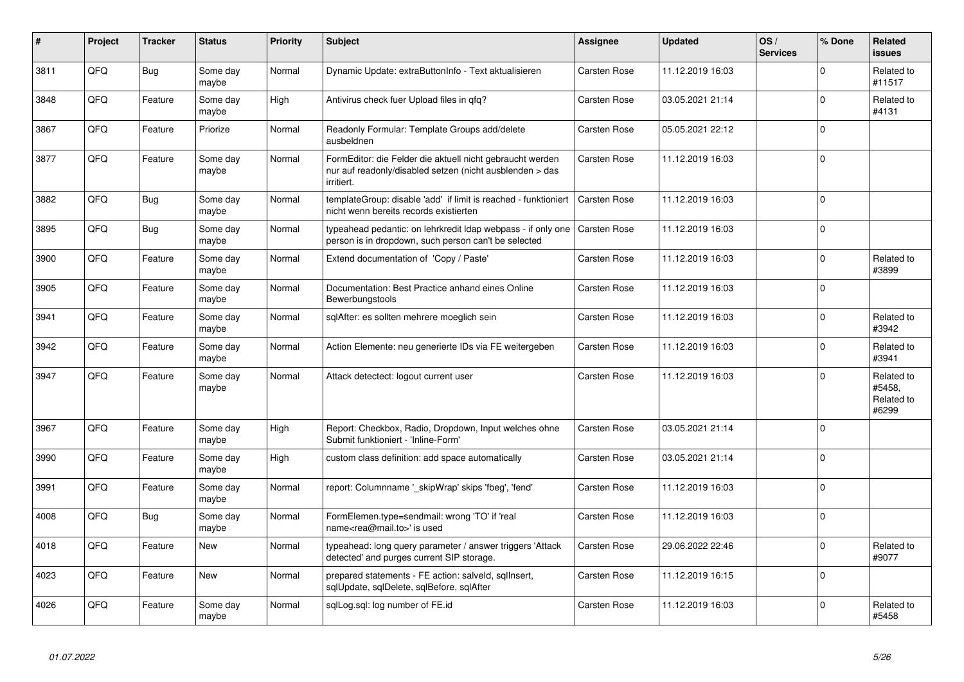| #    | Project | <b>Tracker</b> | <b>Status</b>     | <b>Priority</b> | Subject                                                                                                                             | <b>Assignee</b>     | <b>Updated</b>   | OS/<br><b>Services</b> | % Done      | <b>Related</b><br><b>issues</b>             |
|------|---------|----------------|-------------------|-----------------|-------------------------------------------------------------------------------------------------------------------------------------|---------------------|------------------|------------------------|-------------|---------------------------------------------|
| 3811 | QFQ     | <b>Bug</b>     | Some day<br>maybe | Normal          | Dynamic Update: extraButtonInfo - Text aktualisieren                                                                                | Carsten Rose        | 11.12.2019 16:03 |                        | $\mathbf 0$ | Related to<br>#11517                        |
| 3848 | QFQ     | Feature        | Some day<br>maybe | High            | Antivirus check fuer Upload files in qfq?                                                                                           | Carsten Rose        | 03.05.2021 21:14 |                        | $\mathbf 0$ | Related to<br>#4131                         |
| 3867 | QFQ     | Feature        | Priorize          | Normal          | Readonly Formular: Template Groups add/delete<br>ausbeldnen                                                                         | <b>Carsten Rose</b> | 05.05.2021 22:12 |                        | $\mathbf 0$ |                                             |
| 3877 | QFQ     | Feature        | Some day<br>maybe | Normal          | FormEditor: die Felder die aktuell nicht gebraucht werden<br>nur auf readonly/disabled setzen (nicht ausblenden > das<br>irritiert. | Carsten Rose        | 11.12.2019 16:03 |                        | $\mathbf 0$ |                                             |
| 3882 | QFQ     | Bug            | Some day<br>maybe | Normal          | templateGroup: disable 'add' if limit is reached - funktioniert<br>nicht wenn bereits records existierten                           | <b>Carsten Rose</b> | 11.12.2019 16:03 |                        | $\Omega$    |                                             |
| 3895 | QFQ     | <b>Bug</b>     | Some day<br>maybe | Normal          | typeahead pedantic: on lehrkredit Idap webpass - if only one<br>person is in dropdown, such person can't be selected                | <b>Carsten Rose</b> | 11.12.2019 16:03 |                        | $\Omega$    |                                             |
| 3900 | QFQ     | Feature        | Some day<br>maybe | Normal          | Extend documentation of 'Copy / Paste'                                                                                              | Carsten Rose        | 11.12.2019 16:03 |                        | $\Omega$    | Related to<br>#3899                         |
| 3905 | QFQ     | Feature        | Some day<br>maybe | Normal          | Documentation: Best Practice anhand eines Online<br>Bewerbungstools                                                                 | Carsten Rose        | 11.12.2019 16:03 |                        | $\Omega$    |                                             |
| 3941 | QFQ     | Feature        | Some day<br>maybe | Normal          | sqlAfter: es sollten mehrere moeglich sein                                                                                          | <b>Carsten Rose</b> | 11.12.2019 16:03 |                        | $\mathbf 0$ | Related to<br>#3942                         |
| 3942 | QFQ     | Feature        | Some day<br>maybe | Normal          | Action Elemente: neu generierte IDs via FE weitergeben                                                                              | <b>Carsten Rose</b> | 11.12.2019 16:03 |                        | $\Omega$    | Related to<br>#3941                         |
| 3947 | QFQ     | Feature        | Some day<br>maybe | Normal          | Attack detectect: logout current user                                                                                               | <b>Carsten Rose</b> | 11.12.2019 16:03 |                        | $\mathbf 0$ | Related to<br>#5458,<br>Related to<br>#6299 |
| 3967 | QFQ     | Feature        | Some day<br>maybe | High            | Report: Checkbox, Radio, Dropdown, Input welches ohne<br>Submit funktioniert - 'Inline-Form'                                        | <b>Carsten Rose</b> | 03.05.2021 21:14 |                        | $\mathbf 0$ |                                             |
| 3990 | QFQ     | Feature        | Some day<br>maybe | High            | custom class definition: add space automatically                                                                                    | <b>Carsten Rose</b> | 03.05.2021 21:14 |                        | $\Omega$    |                                             |
| 3991 | QFQ     | Feature        | Some day<br>maybe | Normal          | report: Columnname '_skipWrap' skips 'fbeg', 'fend'                                                                                 | Carsten Rose        | 11.12.2019 16:03 |                        | $\Omega$    |                                             |
| 4008 | QFQ     | Bug            | Some day<br>maybe | Normal          | FormElemen.type=sendmail: wrong 'TO' if 'real<br>name <rea@mail.to>' is used</rea@mail.to>                                          | Carsten Rose        | 11.12.2019 16:03 |                        | $\Omega$    |                                             |
| 4018 | QFQ     | Feature        | <b>New</b>        | Normal          | typeahead: long query parameter / answer triggers 'Attack<br>detected' and purges current SIP storage.                              | Carsten Rose        | 29.06.2022 22:46 |                        | $\mathbf 0$ | Related to<br>#9077                         |
| 4023 | QFQ     | Feature        | New               | Normal          | prepared statements - FE action: salveld, sqllnsert,<br>sqlUpdate, sqlDelete, sqlBefore, sqlAfter                                   | <b>Carsten Rose</b> | 11.12.2019 16:15 |                        | $\mathbf 0$ |                                             |
| 4026 | QFQ     | Feature        | Some day<br>maybe | Normal          | sglLog.sgl: log number of FE.id                                                                                                     | Carsten Rose        | 11.12.2019 16:03 |                        | $\mathbf 0$ | Related to<br>#5458                         |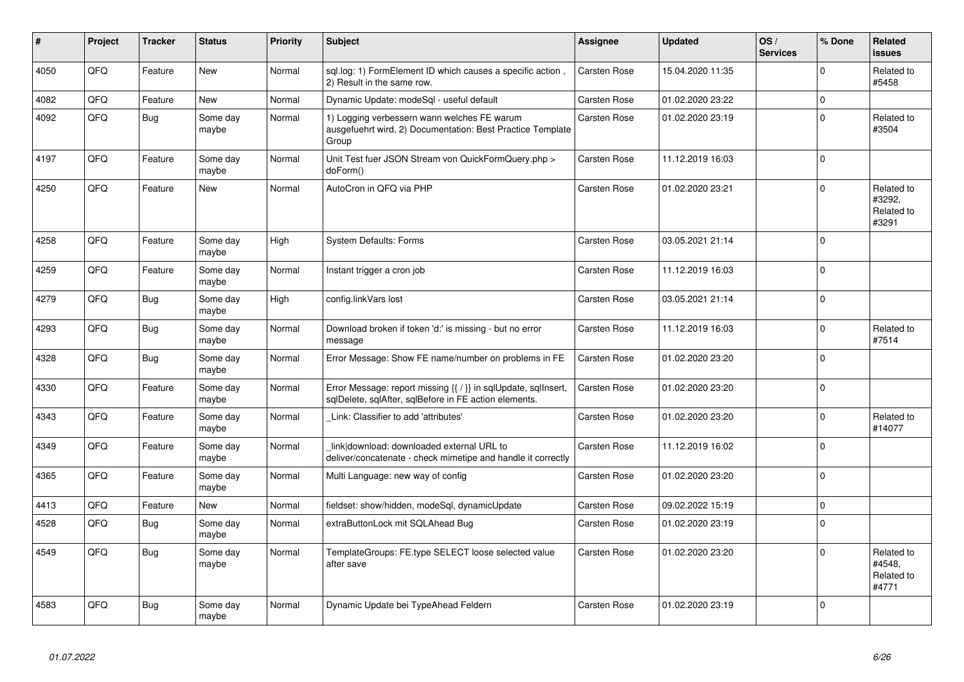| #    | Project | <b>Tracker</b> | <b>Status</b>     | <b>Priority</b> | <b>Subject</b>                                                                                                          | <b>Assignee</b>     | <b>Updated</b>   | OS/<br><b>Services</b> | % Done      | Related<br><b>issues</b>                    |
|------|---------|----------------|-------------------|-----------------|-------------------------------------------------------------------------------------------------------------------------|---------------------|------------------|------------------------|-------------|---------------------------------------------|
| 4050 | QFQ     | Feature        | <b>New</b>        | Normal          | sql.log: 1) FormElement ID which causes a specific action<br>2) Result in the same row.                                 | Carsten Rose        | 15.04.2020 11:35 |                        | $\Omega$    | Related to<br>#5458                         |
| 4082 | QFQ     | Feature        | <b>New</b>        | Normal          | Dynamic Update: modeSql - useful default                                                                                | Carsten Rose        | 01.02.2020 23:22 |                        | $\mathbf 0$ |                                             |
| 4092 | QFQ     | Bug            | Some day<br>maybe | Normal          | 1) Logging verbessern wann welches FE warum<br>ausgefuehrt wird, 2) Documentation: Best Practice Template<br>Group      | Carsten Rose        | 01.02.2020 23:19 |                        | $\Omega$    | Related to<br>#3504                         |
| 4197 | QFQ     | Feature        | Some day<br>maybe | Normal          | Unit Test fuer JSON Stream von QuickFormQuery.php ><br>doForm()                                                         | Carsten Rose        | 11.12.2019 16:03 |                        | $\Omega$    |                                             |
| 4250 | QFQ     | Feature        | New               | Normal          | AutoCron in QFQ via PHP                                                                                                 | Carsten Rose        | 01.02.2020 23:21 |                        | $\Omega$    | Related to<br>#3292,<br>Related to<br>#3291 |
| 4258 | QFQ     | Feature        | Some day<br>maybe | High            | <b>System Defaults: Forms</b>                                                                                           | Carsten Rose        | 03.05.2021 21:14 |                        | $\Omega$    |                                             |
| 4259 | QFQ     | Feature        | Some day<br>maybe | Normal          | Instant trigger a cron job                                                                                              | Carsten Rose        | 11.12.2019 16:03 |                        | $\Omega$    |                                             |
| 4279 | QFQ     | <b>Bug</b>     | Some day<br>maybe | High            | config.linkVars lost                                                                                                    | Carsten Rose        | 03.05.2021 21:14 |                        | $\Omega$    |                                             |
| 4293 | QFO     | <b>Bug</b>     | Some day<br>maybe | Normal          | Download broken if token 'd:' is missing - but no error<br>message                                                      | Carsten Rose        | 11.12.2019 16:03 |                        | $\Omega$    | Related to<br>#7514                         |
| 4328 | QFQ     | <b>Bug</b>     | Some day<br>maybe | Normal          | Error Message: Show FE name/number on problems in FE                                                                    | Carsten Rose        | 01.02.2020 23:20 |                        | $\Omega$    |                                             |
| 4330 | QFQ     | Feature        | Some day<br>maybe | Normal          | Error Message: report missing {{ / }} in sqlUpdate, sqlInsert,<br>sqlDelete, sqlAfter, sqlBefore in FE action elements. | Carsten Rose        | 01.02.2020 23:20 |                        | $\Omega$    |                                             |
| 4343 | QFQ     | Feature        | Some day<br>maybe | Normal          | Link: Classifier to add 'attributes'                                                                                    | Carsten Rose        | 01.02.2020 23:20 |                        | $\Omega$    | Related to<br>#14077                        |
| 4349 | QFQ     | Feature        | Some day<br>maybe | Normal          | link download: downloaded external URL to<br>deliver/concatenate - check mimetipe and handle it correctly               | Carsten Rose        | 11.12.2019 16:02 |                        | $\Omega$    |                                             |
| 4365 | QFQ     | Feature        | Some day<br>maybe | Normal          | Multi Language: new way of config                                                                                       | Carsten Rose        | 01.02.2020 23:20 |                        | $\Omega$    |                                             |
| 4413 | QFQ     | Feature        | <b>New</b>        | Normal          | fieldset: show/hidden, modeSql, dynamicUpdate                                                                           | <b>Carsten Rose</b> | 09.02.2022 15:19 |                        | $\Omega$    |                                             |
| 4528 | QFQ     | Bug            | Some day<br>maybe | Normal          | extraButtonLock mit SQLAhead Bug                                                                                        | Carsten Rose        | 01.02.2020 23:19 |                        | $\Omega$    |                                             |
| 4549 | QFQ     | <b>Bug</b>     | Some day<br>maybe | Normal          | TemplateGroups: FE.type SELECT loose selected value<br>after save                                                       | Carsten Rose        | 01.02.2020 23:20 |                        | $\Omega$    | Related to<br>#4548,<br>Related to<br>#4771 |
| 4583 | QFQ     | Bug            | Some day<br>maybe | Normal          | Dynamic Update bei TypeAhead Feldern                                                                                    | <b>Carsten Rose</b> | 01.02.2020 23:19 |                        | $\Omega$    |                                             |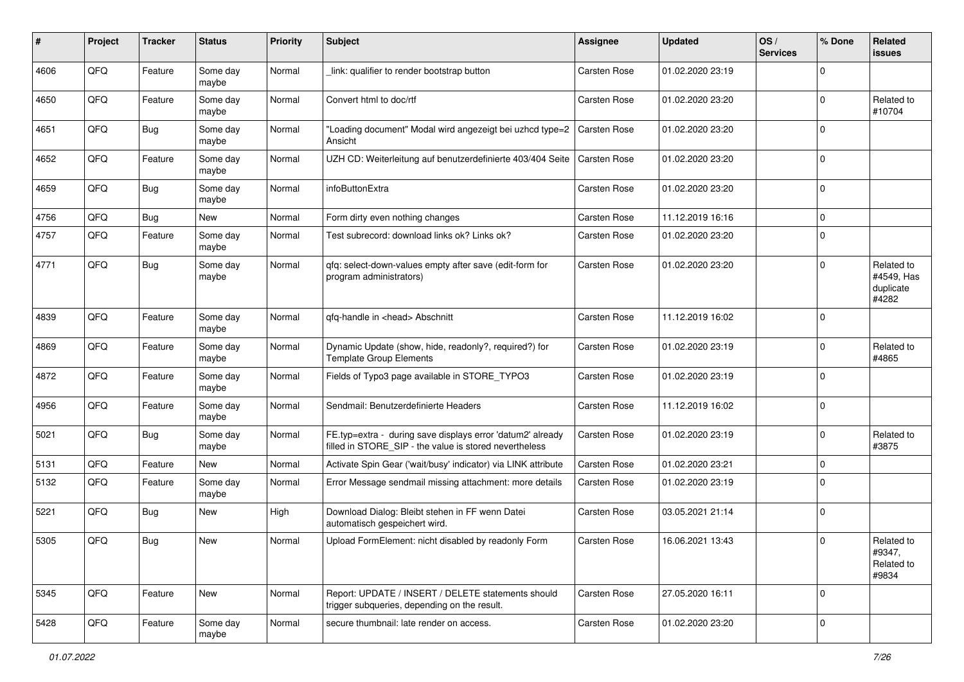| #    | Project | <b>Tracker</b> | <b>Status</b>     | <b>Priority</b> | <b>Subject</b>                                                                                                       | Assignee     | <b>Updated</b>   | OS/<br><b>Services</b> | % Done      | Related<br>issues                              |
|------|---------|----------------|-------------------|-----------------|----------------------------------------------------------------------------------------------------------------------|--------------|------------------|------------------------|-------------|------------------------------------------------|
| 4606 | QFQ     | Feature        | Some day<br>maybe | Normal          | link: qualifier to render bootstrap button                                                                           | Carsten Rose | 01.02.2020 23:19 |                        | $\Omega$    |                                                |
| 4650 | QFQ     | Feature        | Some day<br>maybe | Normal          | Convert html to doc/rtf                                                                                              | Carsten Rose | 01.02.2020 23:20 |                        | $\mathbf 0$ | Related to<br>#10704                           |
| 4651 | QFQ     | <b>Bug</b>     | Some day<br>maybe | Normal          | "Loading document" Modal wird angezeigt bei uzhcd type=2<br>Ansicht                                                  | Carsten Rose | 01.02.2020 23:20 |                        | $\Omega$    |                                                |
| 4652 | QFQ     | Feature        | Some day<br>maybe | Normal          | UZH CD: Weiterleitung auf benutzerdefinierte 403/404 Seite                                                           | Carsten Rose | 01.02.2020 23:20 |                        | 0           |                                                |
| 4659 | QFQ     | <b>Bug</b>     | Some day<br>maybe | Normal          | infoButtonExtra                                                                                                      | Carsten Rose | 01.02.2020 23:20 |                        | $\mathbf 0$ |                                                |
| 4756 | QFQ     | <b>Bug</b>     | New               | Normal          | Form dirty even nothing changes                                                                                      | Carsten Rose | 11.12.2019 16:16 |                        | $\mathbf 0$ |                                                |
| 4757 | QFQ     | Feature        | Some day<br>maybe | Normal          | Test subrecord: download links ok? Links ok?                                                                         | Carsten Rose | 01.02.2020 23:20 |                        | $\mathbf 0$ |                                                |
| 4771 | QFQ     | Bug            | Some day<br>maybe | Normal          | qfq: select-down-values empty after save (edit-form for<br>program administrators)                                   | Carsten Rose | 01.02.2020 23:20 |                        | $\mathbf 0$ | Related to<br>#4549, Has<br>duplicate<br>#4282 |
| 4839 | QFQ     | Feature        | Some day<br>maybe | Normal          | qfq-handle in <head> Abschnitt</head>                                                                                | Carsten Rose | 11.12.2019 16:02 |                        | $\mathbf 0$ |                                                |
| 4869 | QFQ     | Feature        | Some day<br>maybe | Normal          | Dynamic Update (show, hide, readonly?, required?) for<br><b>Template Group Elements</b>                              | Carsten Rose | 01.02.2020 23:19 |                        | $\mathbf 0$ | Related to<br>#4865                            |
| 4872 | QFQ     | Feature        | Some day<br>maybe | Normal          | Fields of Typo3 page available in STORE_TYPO3                                                                        | Carsten Rose | 01.02.2020 23:19 |                        | $\Omega$    |                                                |
| 4956 | QFQ     | Feature        | Some day<br>maybe | Normal          | Sendmail: Benutzerdefinierte Headers                                                                                 | Carsten Rose | 11.12.2019 16:02 |                        | $\mathbf 0$ |                                                |
| 5021 | QFQ     | <b>Bug</b>     | Some day<br>maybe | Normal          | FE.typ=extra - during save displays error 'datum2' already<br>filled in STORE_SIP - the value is stored nevertheless | Carsten Rose | 01.02.2020 23:19 |                        | $\mathbf 0$ | Related to<br>#3875                            |
| 5131 | QFQ     | Feature        | New               | Normal          | Activate Spin Gear ('wait/busy' indicator) via LINK attribute                                                        | Carsten Rose | 01.02.2020 23:21 |                        | $\mathbf 0$ |                                                |
| 5132 | QFQ     | Feature        | Some day<br>maybe | Normal          | Error Message sendmail missing attachment: more details                                                              | Carsten Rose | 01.02.2020 23:19 |                        | $\mathbf 0$ |                                                |
| 5221 | QFQ     | Bug            | New               | High            | Download Dialog: Bleibt stehen in FF wenn Datei<br>automatisch gespeichert wird.                                     | Carsten Rose | 03.05.2021 21:14 |                        | $\mathbf 0$ |                                                |
| 5305 | QFQ     | Bug            | New               | Normal          | Upload FormElement: nicht disabled by readonly Form                                                                  | Carsten Rose | 16.06.2021 13:43 |                        | $\mathbf 0$ | Related to<br>#9347,<br>Related to<br>#9834    |
| 5345 | QFQ     | Feature        | New               | Normal          | Report: UPDATE / INSERT / DELETE statements should<br>trigger subqueries, depending on the result.                   | Carsten Rose | 27.05.2020 16:11 |                        | $\mathbf 0$ |                                                |
| 5428 | QFQ     | Feature        | Some day<br>maybe | Normal          | secure thumbnail: late render on access.                                                                             | Carsten Rose | 01.02.2020 23:20 |                        | $\mathbf 0$ |                                                |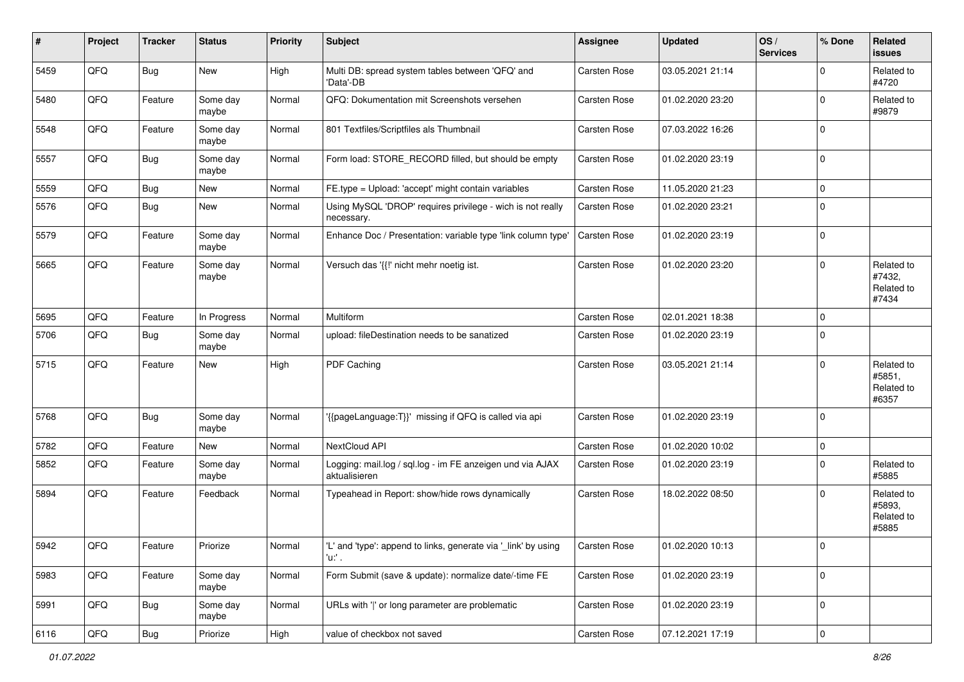| #    | Project | <b>Tracker</b> | <b>Status</b>     | <b>Priority</b> | <b>Subject</b>                                                             | Assignee     | <b>Updated</b>   | OS/<br><b>Services</b> | % Done       | Related<br><b>issues</b>                    |
|------|---------|----------------|-------------------|-----------------|----------------------------------------------------------------------------|--------------|------------------|------------------------|--------------|---------------------------------------------|
| 5459 | QFQ     | Bug            | New               | High            | Multi DB: spread system tables between 'QFQ' and<br>'Data'-DB              | Carsten Rose | 03.05.2021 21:14 |                        | $\Omega$     | Related to<br>#4720                         |
| 5480 | QFQ     | Feature        | Some day<br>maybe | Normal          | QFQ: Dokumentation mit Screenshots versehen                                | Carsten Rose | 01.02.2020 23:20 |                        | $\mathbf 0$  | Related to<br>#9879                         |
| 5548 | QFQ     | Feature        | Some day<br>maybe | Normal          | 801 Textfiles/Scriptfiles als Thumbnail                                    | Carsten Rose | 07.03.2022 16:26 |                        | $\Omega$     |                                             |
| 5557 | QFQ     | Bug            | Some day<br>maybe | Normal          | Form load: STORE_RECORD filled, but should be empty                        | Carsten Rose | 01.02.2020 23:19 |                        | $\mathbf 0$  |                                             |
| 5559 | QFQ     | <b>Bug</b>     | <b>New</b>        | Normal          | FE.type = Upload: 'accept' might contain variables                         | Carsten Rose | 11.05.2020 21:23 |                        | $\mathbf 0$  |                                             |
| 5576 | QFQ     | Bug            | New               | Normal          | Using MySQL 'DROP' requires privilege - wich is not really<br>necessary.   | Carsten Rose | 01.02.2020 23:21 |                        | $\Omega$     |                                             |
| 5579 | QFQ     | Feature        | Some day<br>maybe | Normal          | Enhance Doc / Presentation: variable type 'link column type'               | Carsten Rose | 01.02.2020 23:19 |                        | $\mathbf 0$  |                                             |
| 5665 | QFQ     | Feature        | Some day<br>maybe | Normal          | Versuch das '{{!' nicht mehr noetig ist.                                   | Carsten Rose | 01.02.2020 23:20 |                        | $\mathbf 0$  | Related to<br>#7432,<br>Related to<br>#7434 |
| 5695 | QFQ     | Feature        | In Progress       | Normal          | Multiform                                                                  | Carsten Rose | 02.01.2021 18:38 |                        | $\mathbf 0$  |                                             |
| 5706 | QFQ     | <b>Bug</b>     | Some day<br>maybe | Normal          | upload: fileDestination needs to be sanatized                              | Carsten Rose | 01.02.2020 23:19 |                        | $\Omega$     |                                             |
| 5715 | QFQ     | Feature        | New               | High            | PDF Caching                                                                | Carsten Rose | 03.05.2021 21:14 |                        | $\mathbf 0$  | Related to<br>#5851,<br>Related to<br>#6357 |
| 5768 | QFQ     | Bug            | Some day<br>maybe | Normal          | '{{pageLanguage:T}}' missing if QFQ is called via api                      | Carsten Rose | 01.02.2020 23:19 |                        | $\mathbf 0$  |                                             |
| 5782 | QFQ     | Feature        | New               | Normal          | NextCloud API                                                              | Carsten Rose | 01.02.2020 10:02 |                        | $\mathbf 0$  |                                             |
| 5852 | QFQ     | Feature        | Some day<br>maybe | Normal          | Logging: mail.log / sql.log - im FE anzeigen und via AJAX<br>aktualisieren | Carsten Rose | 01.02.2020 23:19 |                        | $\mathbf 0$  | Related to<br>#5885                         |
| 5894 | QFQ     | Feature        | Feedback          | Normal          | Typeahead in Report: show/hide rows dynamically                            | Carsten Rose | 18.02.2022 08:50 |                        | $\mathbf 0$  | Related to<br>#5893,<br>Related to<br>#5885 |
| 5942 | QFQ     | Feature        | Priorize          | Normal          | L'and 'type': append to links, generate via '_link' by using<br>'u:' .     | Carsten Rose | 01.02.2020 10:13 |                        | $\pmb{0}$    |                                             |
| 5983 | QFQ     | Feature        | Some day<br>maybe | Normal          | Form Submit (save & update): normalize date/-time FE                       | Carsten Rose | 01.02.2020 23:19 |                        | $\mathbf{0}$ |                                             |
| 5991 | QFQ     | Bug            | Some day<br>maybe | Normal          | URLs with 'I' or long parameter are problematic                            | Carsten Rose | 01.02.2020 23:19 |                        | $\mathbf 0$  |                                             |
| 6116 | QFQ     | Bug            | Priorize          | High            | value of checkbox not saved                                                | Carsten Rose | 07.12.2021 17:19 |                        | $\pmb{0}$    |                                             |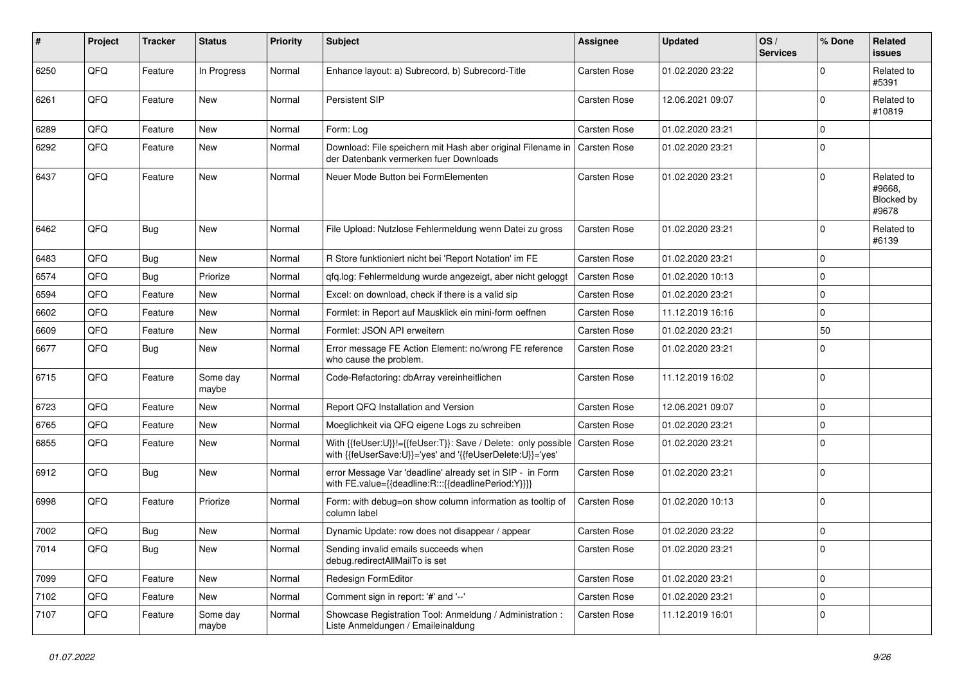| #    | Project | <b>Tracker</b> | <b>Status</b>     | <b>Priority</b> | Subject                                                                                                                    | Assignee            | <b>Updated</b>   | OS/<br><b>Services</b> | % Done      | Related<br><b>issues</b>                           |
|------|---------|----------------|-------------------|-----------------|----------------------------------------------------------------------------------------------------------------------------|---------------------|------------------|------------------------|-------------|----------------------------------------------------|
| 6250 | QFQ     | Feature        | In Progress       | Normal          | Enhance layout: a) Subrecord, b) Subrecord-Title                                                                           | Carsten Rose        | 01.02.2020 23:22 |                        | $\Omega$    | Related to<br>#5391                                |
| 6261 | QFQ     | Feature        | New               | Normal          | Persistent SIP                                                                                                             | Carsten Rose        | 12.06.2021 09:07 |                        | $\Omega$    | Related to<br>#10819                               |
| 6289 | QFQ     | Feature        | New               | Normal          | Form: Log                                                                                                                  | Carsten Rose        | 01.02.2020 23:21 |                        | $\Omega$    |                                                    |
| 6292 | QFQ     | Feature        | New               | Normal          | Download: File speichern mit Hash aber original Filename in   Carsten Rose<br>der Datenbank vermerken fuer Downloads       |                     | 01.02.2020 23:21 |                        | $\Omega$    |                                                    |
| 6437 | QFQ     | Feature        | <b>New</b>        | Normal          | Neuer Mode Button bei FormElementen                                                                                        | Carsten Rose        | 01.02.2020 23:21 |                        | $\Omega$    | Related to<br>#9668,<br><b>Blocked by</b><br>#9678 |
| 6462 | QFQ     | Bug            | New               | Normal          | File Upload: Nutzlose Fehlermeldung wenn Datei zu gross                                                                    | Carsten Rose        | 01.02.2020 23:21 |                        | $\Omega$    | Related to<br>#6139                                |
| 6483 | QFQ     | <b>Bug</b>     | <b>New</b>        | Normal          | R Store funktioniert nicht bei 'Report Notation' im FE                                                                     | Carsten Rose        | 01.02.2020 23:21 |                        | $\Omega$    |                                                    |
| 6574 | QFQ     | <b>Bug</b>     | Priorize          | Normal          | qfq.log: Fehlermeldung wurde angezeigt, aber nicht geloggt                                                                 | <b>Carsten Rose</b> | 01.02.2020 10:13 |                        | $\Omega$    |                                                    |
| 6594 | QFQ     | Feature        | New               | Normal          | Excel: on download, check if there is a valid sip                                                                          | Carsten Rose        | 01.02.2020 23:21 |                        | $\Omega$    |                                                    |
| 6602 | QFQ     | Feature        | New               | Normal          | Formlet: in Report auf Mausklick ein mini-form oeffnen                                                                     | Carsten Rose        | 11.12.2019 16:16 |                        | $\Omega$    |                                                    |
| 6609 | QFQ     | Feature        | New               | Normal          | Formlet: JSON API erweitern                                                                                                | Carsten Rose        | 01.02.2020 23:21 |                        | 50          |                                                    |
| 6677 | QFQ     | Bug            | New               | Normal          | Error message FE Action Element: no/wrong FE reference<br>who cause the problem.                                           | Carsten Rose        | 01.02.2020 23:21 |                        | $\Omega$    |                                                    |
| 6715 | QFQ     | Feature        | Some day<br>maybe | Normal          | Code-Refactoring: dbArray vereinheitlichen                                                                                 | Carsten Rose        | 11.12.2019 16:02 |                        | $\Omega$    |                                                    |
| 6723 | QFQ     | Feature        | New               | Normal          | Report QFQ Installation and Version                                                                                        | Carsten Rose        | 12.06.2021 09:07 |                        | $\Omega$    |                                                    |
| 6765 | QFQ     | Feature        | New               | Normal          | Moeglichkeit via QFQ eigene Logs zu schreiben                                                                              | Carsten Rose        | 01.02.2020 23:21 |                        | $\Omega$    |                                                    |
| 6855 | QFQ     | Feature        | New               | Normal          | With {{feUser:U}}!={{feUser:T}}: Save / Delete: only possible<br>with {{feUserSave:U}}='yes' and '{{feUserDelete:U}}='yes' | Carsten Rose        | 01.02.2020 23:21 |                        | $\Omega$    |                                                    |
| 6912 | QFQ     | Bug            | <b>New</b>        | Normal          | error Message Var 'deadline' already set in SIP - in Form<br>with FE.value={{deadline:R:::{{deadlinePeriod:Y}}}}           | Carsten Rose        | 01.02.2020 23:21 |                        | $\Omega$    |                                                    |
| 6998 | QFQ     | Feature        | Priorize          | Normal          | Form: with debug=on show column information as tooltip of<br>column label                                                  | Carsten Rose        | 01.02.2020 10:13 |                        | $\Omega$    |                                                    |
| 7002 | QFQ     | Bug            | <b>New</b>        | Normal          | Dynamic Update: row does not disappear / appear                                                                            | Carsten Rose        | 01.02.2020 23:22 |                        | $\Omega$    |                                                    |
| 7014 | QFQ     | Bug            | New               | Normal          | Sending invalid emails succeeds when<br>debug.redirectAllMailTo is set                                                     | Carsten Rose        | 01.02.2020 23:21 |                        | 0           |                                                    |
| 7099 | QFQ     | Feature        | New               | Normal          | Redesign FormEditor                                                                                                        | Carsten Rose        | 01.02.2020 23:21 |                        | $\mathbf 0$ |                                                    |
| 7102 | QFQ     | Feature        | New               | Normal          | Comment sign in report: '#' and '--'                                                                                       | Carsten Rose        | 01.02.2020 23:21 |                        | $\mathbf 0$ |                                                    |
| 7107 | QFQ     | Feature        | Some day<br>maybe | Normal          | Showcase Registration Tool: Anmeldung / Administration :<br>Liste Anmeldungen / Emaileinaldung                             | Carsten Rose        | 11.12.2019 16:01 |                        | $\Omega$    |                                                    |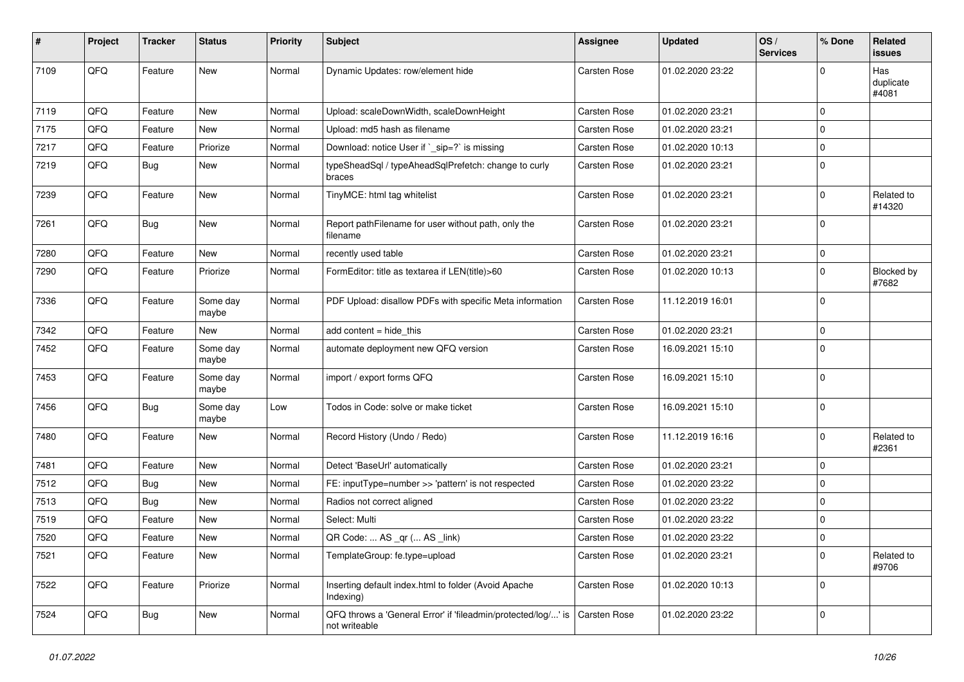| #    | Project | <b>Tracker</b> | <b>Status</b>     | <b>Priority</b> | <b>Subject</b>                                                                 | Assignee     | <b>Updated</b>   | OS/<br><b>Services</b> | % Done      | Related<br>issues         |
|------|---------|----------------|-------------------|-----------------|--------------------------------------------------------------------------------|--------------|------------------|------------------------|-------------|---------------------------|
| 7109 | QFQ     | Feature        | New               | Normal          | Dynamic Updates: row/element hide                                              | Carsten Rose | 01.02.2020 23:22 |                        | $\Omega$    | Has<br>duplicate<br>#4081 |
| 7119 | QFQ     | Feature        | <b>New</b>        | Normal          | Upload: scaleDownWidth, scaleDownHeight                                        | Carsten Rose | 01.02.2020 23:21 |                        | $\mathbf 0$ |                           |
| 7175 | QFQ     | Feature        | New               | Normal          | Upload: md5 hash as filename                                                   | Carsten Rose | 01.02.2020 23:21 |                        | $\mathbf 0$ |                           |
| 7217 | QFQ     | Feature        | Priorize          | Normal          | Download: notice User if `_sip=?` is missing                                   | Carsten Rose | 01.02.2020 10:13 |                        | $\mathbf 0$ |                           |
| 7219 | QFQ     | <b>Bug</b>     | New               | Normal          | typeSheadSql / typeAheadSqlPrefetch: change to curly<br>braces                 | Carsten Rose | 01.02.2020 23:21 |                        | $\mathbf 0$ |                           |
| 7239 | QFQ     | Feature        | <b>New</b>        | Normal          | TinyMCE: html tag whitelist                                                    | Carsten Rose | 01.02.2020 23:21 |                        | $\mathbf 0$ | Related to<br>#14320      |
| 7261 | QFQ     | Bug            | <b>New</b>        | Normal          | Report pathFilename for user without path, only the<br>filename                | Carsten Rose | 01.02.2020 23:21 |                        | $\Omega$    |                           |
| 7280 | QFQ     | Feature        | New               | Normal          | recently used table                                                            | Carsten Rose | 01.02.2020 23:21 |                        | $\mathbf 0$ |                           |
| 7290 | QFQ     | Feature        | Priorize          | Normal          | FormEditor: title as textarea if LEN(title)>60                                 | Carsten Rose | 01.02.2020 10:13 |                        | $\mathbf 0$ | Blocked by<br>#7682       |
| 7336 | QFQ     | Feature        | Some day<br>maybe | Normal          | PDF Upload: disallow PDFs with specific Meta information                       | Carsten Rose | 11.12.2019 16:01 |                        | $\Omega$    |                           |
| 7342 | QFQ     | Feature        | New               | Normal          | add content = hide_this                                                        | Carsten Rose | 01.02.2020 23:21 |                        | $\mathbf 0$ |                           |
| 7452 | QFQ     | Feature        | Some day<br>maybe | Normal          | automate deployment new QFQ version                                            | Carsten Rose | 16.09.2021 15:10 |                        | $\Omega$    |                           |
| 7453 | QFQ     | Feature        | Some day<br>maybe | Normal          | import / export forms QFQ                                                      | Carsten Rose | 16.09.2021 15:10 |                        | $\mathbf 0$ |                           |
| 7456 | QFQ     | <b>Bug</b>     | Some day<br>maybe | Low             | Todos in Code: solve or make ticket                                            | Carsten Rose | 16.09.2021 15:10 |                        | $\mathbf 0$ |                           |
| 7480 | QFQ     | Feature        | New               | Normal          | Record History (Undo / Redo)                                                   | Carsten Rose | 11.12.2019 16:16 |                        | $\mathbf 0$ | Related to<br>#2361       |
| 7481 | QFQ     | Feature        | New               | Normal          | Detect 'BaseUrl' automatically                                                 | Carsten Rose | 01.02.2020 23:21 |                        | $\mathbf 0$ |                           |
| 7512 | QFQ     | <b>Bug</b>     | New               | Normal          | FE: inputType=number >> 'pattern' is not respected                             | Carsten Rose | 01.02.2020 23:22 |                        | 0           |                           |
| 7513 | QFQ     | <b>Bug</b>     | New               | Normal          | Radios not correct aligned                                                     | Carsten Rose | 01.02.2020 23:22 |                        | $\mathbf 0$ |                           |
| 7519 | QFQ     | Feature        | New               | Normal          | Select: Multi                                                                  | Carsten Rose | 01.02.2020 23:22 |                        | $\Omega$    |                           |
| 7520 | QFQ     | Feature        | New               | Normal          | QR Code:  AS _qr ( AS _link)                                                   | Carsten Rose | 01.02.2020 23:22 |                        | $\mathbf 0$ |                           |
| 7521 | QFQ     | Feature        | New               | Normal          | TemplateGroup: fe.type=upload                                                  | Carsten Rose | 01.02.2020 23:21 |                        | $\mathbf 0$ | Related to<br>#9706       |
| 7522 | QFQ     | Feature        | Priorize          | Normal          | Inserting default index.html to folder (Avoid Apache<br>Indexing)              | Carsten Rose | 01.02.2020 10:13 |                        | $\mathbf 0$ |                           |
| 7524 | QFQ     | <b>Bug</b>     | New               | Normal          | QFQ throws a 'General Error' if 'fileadmin/protected/log/' is<br>not writeable | Carsten Rose | 01.02.2020 23:22 |                        | $\mathbf 0$ |                           |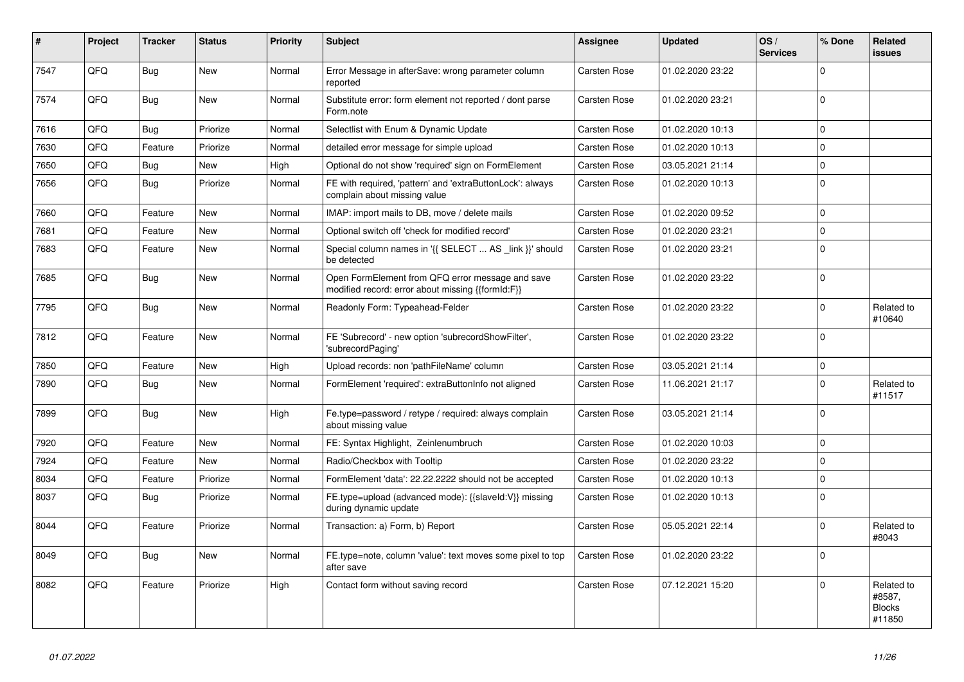| #    | Project | <b>Tracker</b> | <b>Status</b> | <b>Priority</b> | <b>Subject</b>                                                                                        | Assignee            | <b>Updated</b>   | OS/<br><b>Services</b> | % Done      | <b>Related</b><br><b>issues</b>                 |
|------|---------|----------------|---------------|-----------------|-------------------------------------------------------------------------------------------------------|---------------------|------------------|------------------------|-------------|-------------------------------------------------|
| 7547 | QFQ     | <b>Bug</b>     | <b>New</b>    | Normal          | Error Message in afterSave: wrong parameter column<br>reported                                        | <b>Carsten Rose</b> | 01.02.2020 23:22 |                        | $\Omega$    |                                                 |
| 7574 | QFQ     | Bug            | <b>New</b>    | Normal          | Substitute error: form element not reported / dont parse<br>Form.note                                 | Carsten Rose        | 01.02.2020 23:21 |                        | $\Omega$    |                                                 |
| 7616 | QFQ     | Bug            | Priorize      | Normal          | Selectlist with Enum & Dynamic Update                                                                 | Carsten Rose        | 01.02.2020 10:13 |                        | $\mathbf 0$ |                                                 |
| 7630 | QFQ     | Feature        | Priorize      | Normal          | detailed error message for simple upload                                                              | <b>Carsten Rose</b> | 01.02.2020 10:13 |                        | $\mathbf 0$ |                                                 |
| 7650 | QFQ     | <b>Bug</b>     | New           | High            | Optional do not show 'required' sign on FormElement                                                   | <b>Carsten Rose</b> | 03.05.2021 21:14 |                        | $\mathbf 0$ |                                                 |
| 7656 | QFQ     | <b>Bug</b>     | Priorize      | Normal          | FE with required, 'pattern' and 'extraButtonLock': always<br>complain about missing value             | <b>Carsten Rose</b> | 01.02.2020 10:13 |                        | $\Omega$    |                                                 |
| 7660 | QFQ     | Feature        | New           | Normal          | IMAP: import mails to DB, move / delete mails                                                         | Carsten Rose        | 01.02.2020 09:52 |                        | $\mathbf 0$ |                                                 |
| 7681 | QFQ     | Feature        | New           | Normal          | Optional switch off 'check for modified record'                                                       | Carsten Rose        | 01.02.2020 23:21 |                        | $\Omega$    |                                                 |
| 7683 | QFQ     | Feature        | New           | Normal          | Special column names in '{{ SELECT  AS _link }}' should<br>be detected                                | <b>Carsten Rose</b> | 01.02.2020 23:21 |                        | $\Omega$    |                                                 |
| 7685 | QFQ     | <b>Bug</b>     | <b>New</b>    | Normal          | Open FormElement from QFQ error message and save<br>modified record: error about missing {{formId:F}} | <b>Carsten Rose</b> | 01.02.2020 23:22 |                        | $\Omega$    |                                                 |
| 7795 | QFQ     | Bug            | <b>New</b>    | Normal          | Readonly Form: Typeahead-Felder                                                                       | <b>Carsten Rose</b> | 01.02.2020 23:22 |                        | $\Omega$    | Related to<br>#10640                            |
| 7812 | QFQ     | Feature        | New           | Normal          | FE 'Subrecord' - new option 'subrecordShowFilter',<br>'subrecordPaging'                               | <b>Carsten Rose</b> | 01.02.2020 23:22 |                        | $\Omega$    |                                                 |
| 7850 | QFQ     | Feature        | New           | High            | Upload records: non 'pathFileName' column                                                             | <b>Carsten Rose</b> | 03.05.2021 21:14 |                        | $\mathbf 0$ |                                                 |
| 7890 | QFQ     | <b>Bug</b>     | New           | Normal          | FormElement 'required': extraButtonInfo not aligned                                                   | Carsten Rose        | 11.06.2021 21:17 |                        | $\mathbf 0$ | Related to<br>#11517                            |
| 7899 | QFQ     | <b>Bug</b>     | New           | High            | Fe.type=password / retype / required: always complain<br>about missing value                          | Carsten Rose        | 03.05.2021 21:14 |                        | $\mathbf 0$ |                                                 |
| 7920 | QFQ     | Feature        | New           | Normal          | FE: Syntax Highlight, Zeinlenumbruch                                                                  | Carsten Rose        | 01.02.2020 10:03 |                        | $\Omega$    |                                                 |
| 7924 | QFQ     | Feature        | <b>New</b>    | Normal          | Radio/Checkbox with Tooltip                                                                           | <b>Carsten Rose</b> | 01.02.2020 23:22 |                        | $\Omega$    |                                                 |
| 8034 | QFQ     | Feature        | Priorize      | Normal          | FormElement 'data': 22.22.2222 should not be accepted                                                 | <b>Carsten Rose</b> | 01.02.2020 10:13 |                        | $\mathbf 0$ |                                                 |
| 8037 | QFQ     | <b>Bug</b>     | Priorize      | Normal          | FE.type=upload (advanced mode): {{slaveld:V}} missing<br>during dynamic update                        | Carsten Rose        | 01.02.2020 10:13 |                        | $\mathbf 0$ |                                                 |
| 8044 | QFQ     | Feature        | Priorize      | Normal          | Transaction: a) Form, b) Report                                                                       | Carsten Rose        | 05.05.2021 22:14 |                        | $\Omega$    | Related to<br>#8043                             |
| 8049 | QFQ     | <b>Bug</b>     | New           | Normal          | FE.type=note, column 'value': text moves some pixel to top<br>after save                              | <b>Carsten Rose</b> | 01.02.2020 23:22 |                        | $\Omega$    |                                                 |
| 8082 | QFQ     | Feature        | Priorize      | High            | Contact form without saving record                                                                    | <b>Carsten Rose</b> | 07.12.2021 15:20 |                        | $\mathbf 0$ | Related to<br>#8587,<br><b>Blocks</b><br>#11850 |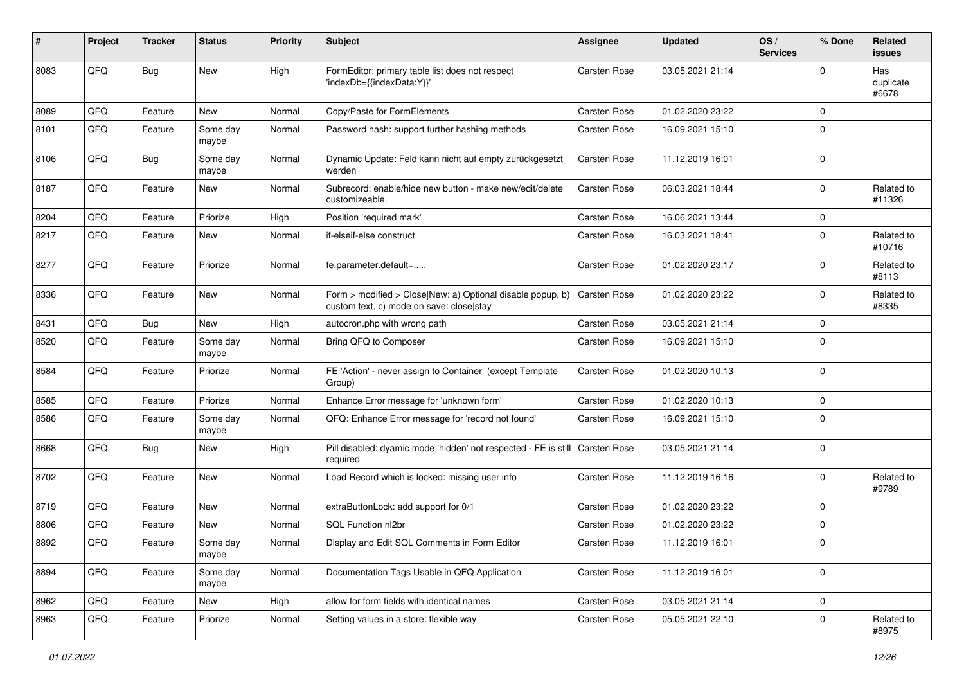| #    | Project | <b>Tracker</b> | <b>Status</b>     | <b>Priority</b> | <b>Subject</b>                                                                                         | Assignee     | <b>Updated</b>   | OS/<br><b>Services</b> | % Done      | <b>Related</b><br>issues  |
|------|---------|----------------|-------------------|-----------------|--------------------------------------------------------------------------------------------------------|--------------|------------------|------------------------|-------------|---------------------------|
| 8083 | QFQ     | <b>Bug</b>     | <b>New</b>        | High            | FormEditor: primary table list does not respect<br>'indexDb={{indexData:Y}}'                           | Carsten Rose | 03.05.2021 21:14 |                        | $\Omega$    | Has<br>duplicate<br>#6678 |
| 8089 | QFQ     | Feature        | <b>New</b>        | Normal          | Copy/Paste for FormElements                                                                            | Carsten Rose | 01.02.2020 23:22 |                        | $\mathbf 0$ |                           |
| 8101 | QFQ     | Feature        | Some day<br>maybe | Normal          | Password hash: support further hashing methods                                                         | Carsten Rose | 16.09.2021 15:10 |                        | $\Omega$    |                           |
| 8106 | QFQ     | <b>Bug</b>     | Some day<br>maybe | Normal          | Dynamic Update: Feld kann nicht auf empty zurückgesetzt<br>werden                                      | Carsten Rose | 11.12.2019 16:01 |                        | $\mathbf 0$ |                           |
| 8187 | QFQ     | Feature        | New               | Normal          | Subrecord: enable/hide new button - make new/edit/delete<br>customizeable.                             | Carsten Rose | 06.03.2021 18:44 |                        | $\mathbf 0$ | Related to<br>#11326      |
| 8204 | QFQ     | Feature        | Priorize          | High            | Position 'required mark'                                                                               | Carsten Rose | 16.06.2021 13:44 |                        | $\mathbf 0$ |                           |
| 8217 | QFQ     | Feature        | New               | Normal          | if-elseif-else construct                                                                               | Carsten Rose | 16.03.2021 18:41 |                        | $\mathbf 0$ | Related to<br>#10716      |
| 8277 | QFQ     | Feature        | Priorize          | Normal          | fe.parameter.default=                                                                                  | Carsten Rose | 01.02.2020 23:17 |                        | $\mathbf 0$ | Related to<br>#8113       |
| 8336 | QFQ     | Feature        | New               | Normal          | Form > modified > Close New: a) Optional disable popup, b)<br>custom text, c) mode on save: closelstay | Carsten Rose | 01.02.2020 23:22 |                        | $\mathbf 0$ | Related to<br>#8335       |
| 8431 | QFQ     | <b>Bug</b>     | <b>New</b>        | High            | autocron.php with wrong path                                                                           | Carsten Rose | 03.05.2021 21:14 |                        | $\mathbf 0$ |                           |
| 8520 | QFQ     | Feature        | Some day<br>maybe | Normal          | Bring QFQ to Composer                                                                                  | Carsten Rose | 16.09.2021 15:10 |                        | $\Omega$    |                           |
| 8584 | QFQ     | Feature        | Priorize          | Normal          | FE 'Action' - never assign to Container (except Template<br>Group)                                     | Carsten Rose | 01.02.2020 10:13 |                        | $\mathbf 0$ |                           |
| 8585 | QFQ     | Feature        | Priorize          | Normal          | Enhance Error message for 'unknown form'                                                               | Carsten Rose | 01.02.2020 10:13 |                        | $\mathbf 0$ |                           |
| 8586 | QFQ     | Feature        | Some day<br>maybe | Normal          | QFQ: Enhance Error message for 'record not found'                                                      | Carsten Rose | 16.09.2021 15:10 |                        | $\Omega$    |                           |
| 8668 | QFQ     | <b>Bug</b>     | <b>New</b>        | High            | Pill disabled: dyamic mode 'hidden' not respected - FE is still<br>required                            | Carsten Rose | 03.05.2021 21:14 |                        | $\Omega$    |                           |
| 8702 | QFQ     | Feature        | <b>New</b>        | Normal          | Load Record which is locked: missing user info                                                         | Carsten Rose | 11.12.2019 16:16 |                        | $\mathbf 0$ | Related to<br>#9789       |
| 8719 | QFQ     | Feature        | New               | Normal          | extraButtonLock: add support for 0/1                                                                   | Carsten Rose | 01.02.2020 23:22 |                        | $\Omega$    |                           |
| 8806 | QFQ     | Feature        | New               | Normal          | SQL Function nl2br                                                                                     | Carsten Rose | 01.02.2020 23:22 |                        | $\mathbf 0$ |                           |
| 8892 | QFQ     | Feature        | Some day<br>maybe | Normal          | Display and Edit SQL Comments in Form Editor                                                           | Carsten Rose | 11.12.2019 16:01 |                        | $\Omega$    |                           |
| 8894 | QFQ     | Feature        | Some day<br>maybe | Normal          | Documentation Tags Usable in QFQ Application                                                           | Carsten Rose | 11.12.2019 16:01 |                        | $\mathbf 0$ |                           |
| 8962 | QFQ     | Feature        | New               | High            | allow for form fields with identical names                                                             | Carsten Rose | 03.05.2021 21:14 |                        | $\mathbf 0$ |                           |
| 8963 | QFG     | Feature        | Priorize          | Normal          | Setting values in a store: flexible way                                                                | Carsten Rose | 05.05.2021 22:10 |                        | $\mathbf 0$ | Related to<br>#8975       |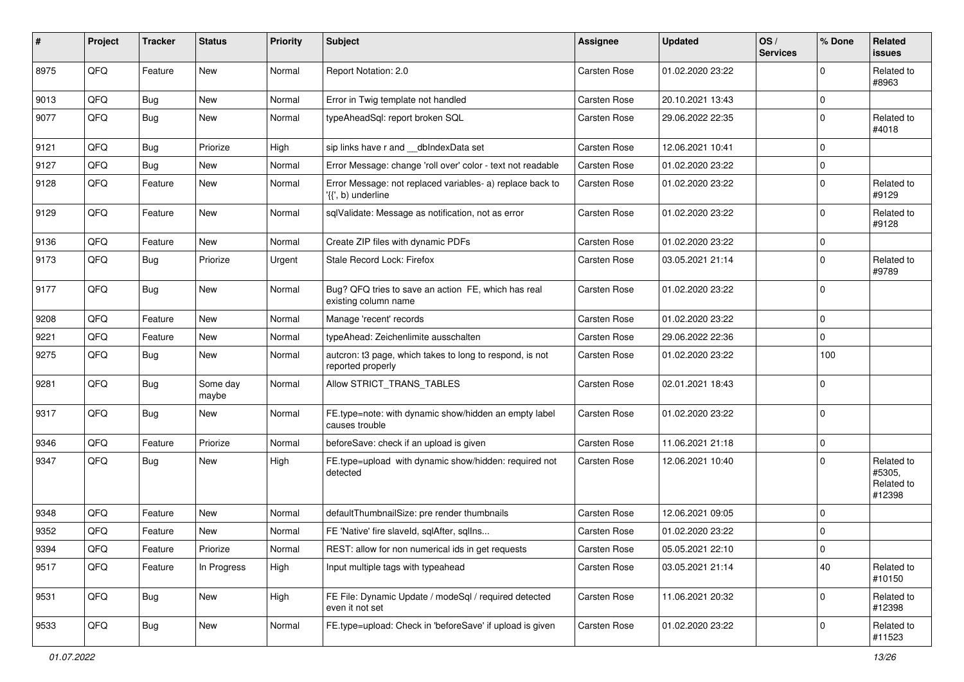| #    | Project | <b>Tracker</b> | <b>Status</b>     | <b>Priority</b> | <b>Subject</b>                                                                  | Assignee            | <b>Updated</b>   | OS/<br><b>Services</b> | % Done      | Related<br>issues                            |
|------|---------|----------------|-------------------|-----------------|---------------------------------------------------------------------------------|---------------------|------------------|------------------------|-------------|----------------------------------------------|
| 8975 | QFQ     | Feature        | New               | Normal          | Report Notation: 2.0                                                            | Carsten Rose        | 01.02.2020 23:22 |                        | $\Omega$    | Related to<br>#8963                          |
| 9013 | QFQ     | Bug            | New               | Normal          | Error in Twig template not handled                                              | Carsten Rose        | 20.10.2021 13:43 |                        | $\Omega$    |                                              |
| 9077 | QFQ     | Bug            | New               | Normal          | typeAheadSql: report broken SQL                                                 | Carsten Rose        | 29.06.2022 22:35 |                        | $\Omega$    | Related to<br>#4018                          |
| 9121 | QFQ     | Bug            | Priorize          | High            | sip links have r and __dbIndexData set                                          | Carsten Rose        | 12.06.2021 10:41 |                        | $\Omega$    |                                              |
| 9127 | QFQ     | Bug            | New               | Normal          | Error Message: change 'roll over' color - text not readable                     | Carsten Rose        | 01.02.2020 23:22 |                        | $\mathbf 0$ |                                              |
| 9128 | QFQ     | Feature        | New               | Normal          | Error Message: not replaced variables- a) replace back to<br>'{{', b) underline | <b>Carsten Rose</b> | 01.02.2020 23:22 |                        | $\Omega$    | Related to<br>#9129                          |
| 9129 | QFQ     | Feature        | New               | Normal          | sqlValidate: Message as notification, not as error                              | Carsten Rose        | 01.02.2020 23:22 |                        | $\Omega$    | Related to<br>#9128                          |
| 9136 | QFQ     | Feature        | New               | Normal          | Create ZIP files with dynamic PDFs                                              | Carsten Rose        | 01.02.2020 23:22 |                        | $\Omega$    |                                              |
| 9173 | QFQ     | Bug            | Priorize          | Urgent          | Stale Record Lock: Firefox                                                      | Carsten Rose        | 03.05.2021 21:14 |                        | $\Omega$    | Related to<br>#9789                          |
| 9177 | QFQ     | Bug            | New               | Normal          | Bug? QFQ tries to save an action FE, which has real<br>existing column name     | Carsten Rose        | 01.02.2020 23:22 |                        | $\Omega$    |                                              |
| 9208 | QFQ     | Feature        | New               | Normal          | Manage 'recent' records                                                         | Carsten Rose        | 01.02.2020 23:22 |                        | 0           |                                              |
| 9221 | QFQ     | Feature        | New               | Normal          | typeAhead: Zeichenlimite ausschalten                                            | Carsten Rose        | 29.06.2022 22:36 |                        | 0           |                                              |
| 9275 | QFQ     | <b>Bug</b>     | New               | Normal          | autcron: t3 page, which takes to long to respond, is not<br>reported properly   | Carsten Rose        | 01.02.2020 23:22 |                        | 100         |                                              |
| 9281 | QFQ     | <b>Bug</b>     | Some day<br>maybe | Normal          | Allow STRICT_TRANS_TABLES                                                       | Carsten Rose        | 02.01.2021 18:43 |                        | $\Omega$    |                                              |
| 9317 | QFQ     | Bug            | New               | Normal          | FE.type=note: with dynamic show/hidden an empty label<br>causes trouble         | Carsten Rose        | 01.02.2020 23:22 |                        | $\Omega$    |                                              |
| 9346 | QFQ     | Feature        | Priorize          | Normal          | beforeSave: check if an upload is given                                         | Carsten Rose        | 11.06.2021 21:18 |                        | $\mathbf 0$ |                                              |
| 9347 | QFQ     | Bug            | New               | High            | FE.type=upload with dynamic show/hidden: required not<br>detected               | Carsten Rose        | 12.06.2021 10:40 |                        | $\Omega$    | Related to<br>#5305,<br>Related to<br>#12398 |
| 9348 | QFQ     | Feature        | New               | Normal          | defaultThumbnailSize: pre render thumbnails                                     | Carsten Rose        | 12.06.2021 09:05 |                        | $\Omega$    |                                              |
| 9352 | QFQ     | Feature        | New               | Normal          | FE 'Native' fire slaveld, sqlAfter, sqlIns                                      | Carsten Rose        | 01.02.2020 23:22 |                        | $\Omega$    |                                              |
| 9394 | QFQ     | Feature        | Priorize          | Normal          | REST: allow for non numerical ids in get requests                               | Carsten Rose        | 05.05.2021 22:10 |                        | 0           |                                              |
| 9517 | QFQ     | Feature        | In Progress       | High            | Input multiple tags with typeahead                                              | Carsten Rose        | 03.05.2021 21:14 |                        | 40          | Related to<br>#10150                         |
| 9531 | QFQ     | Bug            | New               | High            | FE File: Dynamic Update / modeSql / required detected<br>even it not set        | Carsten Rose        | 11.06.2021 20:32 |                        | $\mathbf 0$ | Related to<br>#12398                         |
| 9533 | QFQ     | <b>Bug</b>     | New               | Normal          | FE.type=upload: Check in 'beforeSave' if upload is given                        | Carsten Rose        | 01.02.2020 23:22 |                        | 0           | Related to<br>#11523                         |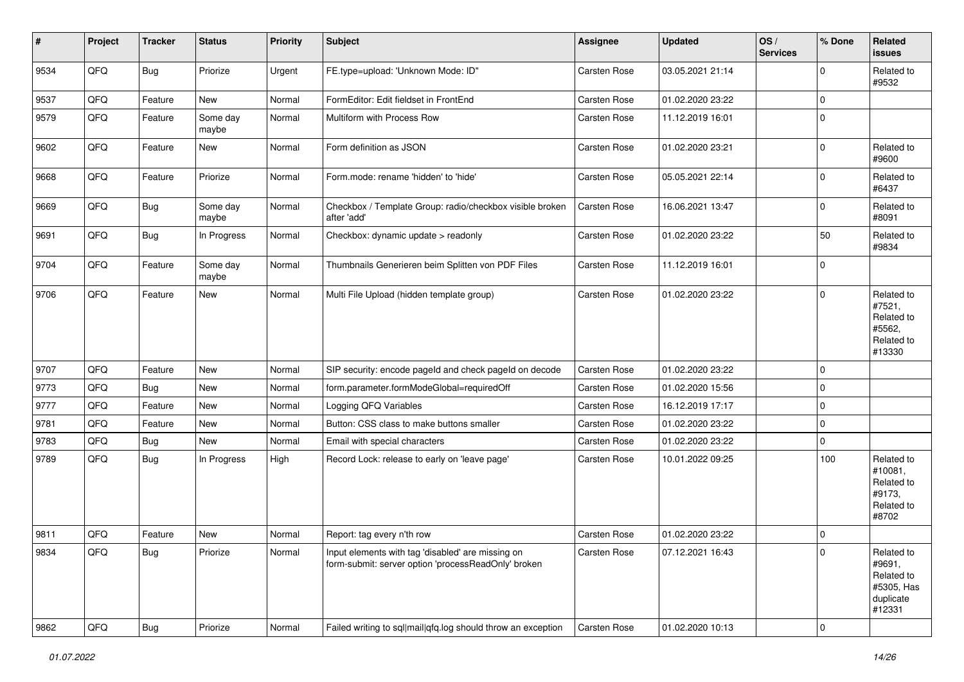| $\vert$ # | Project | <b>Tracker</b> | <b>Status</b>     | <b>Priority</b> | <b>Subject</b>                                                                                           | Assignee     | <b>Updated</b>   | OS/<br><b>Services</b> | % Done         | <b>Related</b><br>issues                                                |
|-----------|---------|----------------|-------------------|-----------------|----------------------------------------------------------------------------------------------------------|--------------|------------------|------------------------|----------------|-------------------------------------------------------------------------|
| 9534      | QFQ     | <b>Bug</b>     | Priorize          | Urgent          | FE.type=upload: 'Unknown Mode: ID"                                                                       | Carsten Rose | 03.05.2021 21:14 |                        | $\Omega$       | Related to<br>#9532                                                     |
| 9537      | QFQ     | Feature        | <b>New</b>        | Normal          | FormEditor: Edit fieldset in FrontEnd                                                                    | Carsten Rose | 01.02.2020 23:22 |                        | $\mathbf 0$    |                                                                         |
| 9579      | QFQ     | Feature        | Some day<br>maybe | Normal          | Multiform with Process Row                                                                               | Carsten Rose | 11.12.2019 16:01 |                        | $\mathbf 0$    |                                                                         |
| 9602      | QFQ     | Feature        | New               | Normal          | Form definition as JSON                                                                                  | Carsten Rose | 01.02.2020 23:21 |                        | $\mathbf 0$    | Related to<br>#9600                                                     |
| 9668      | QFQ     | Feature        | Priorize          | Normal          | Form.mode: rename 'hidden' to 'hide'                                                                     | Carsten Rose | 05.05.2021 22:14 |                        | $\mathbf 0$    | Related to<br>#6437                                                     |
| 9669      | QFQ     | <b>Bug</b>     | Some day<br>maybe | Normal          | Checkbox / Template Group: radio/checkbox visible broken<br>after 'add'                                  | Carsten Rose | 16.06.2021 13:47 |                        | $\mathbf 0$    | Related to<br>#8091                                                     |
| 9691      | QFQ     | <b>Bug</b>     | In Progress       | Normal          | Checkbox: dynamic update > readonly                                                                      | Carsten Rose | 01.02.2020 23:22 |                        | 50             | Related to<br>#9834                                                     |
| 9704      | QFQ     | Feature        | Some day<br>maybe | Normal          | Thumbnails Generieren beim Splitten von PDF Files                                                        | Carsten Rose | 11.12.2019 16:01 |                        | $\mathbf 0$    |                                                                         |
| 9706      | QFQ     | Feature        | New               | Normal          | Multi File Upload (hidden template group)                                                                | Carsten Rose | 01.02.2020 23:22 |                        | $\mathbf 0$    | Related to<br>#7521,<br>Related to<br>#5562,<br>Related to<br>#13330    |
| 9707      | QFQ     | Feature        | New               | Normal          | SIP security: encode pageld and check pageld on decode                                                   | Carsten Rose | 01.02.2020 23:22 |                        | $\Omega$       |                                                                         |
| 9773      | QFQ     | Bug            | New               | Normal          | form.parameter.formModeGlobal=requiredOff                                                                | Carsten Rose | 01.02.2020 15:56 |                        | $\mathbf 0$    |                                                                         |
| 9777      | QFQ     | Feature        | New               | Normal          | Logging QFQ Variables                                                                                    | Carsten Rose | 16.12.2019 17:17 |                        | $\mathbf 0$    |                                                                         |
| 9781      | QFQ     | Feature        | New               | Normal          | Button: CSS class to make buttons smaller                                                                | Carsten Rose | 01.02.2020 23:22 |                        | $\mathbf 0$    |                                                                         |
| 9783      | QFQ     | <b>Bug</b>     | New               | Normal          | Email with special characters                                                                            | Carsten Rose | 01.02.2020 23:22 |                        | $\mathbf 0$    |                                                                         |
| 9789      | QFQ     | Bug            | In Progress       | High            | Record Lock: release to early on 'leave page'                                                            | Carsten Rose | 10.01.2022 09:25 |                        | 100            | Related to<br>#10081,<br>Related to<br>#9173.<br>Related to<br>#8702    |
| 9811      | QFQ     | Feature        | New               | Normal          | Report: tag every n'th row                                                                               | Carsten Rose | 01.02.2020 23:22 |                        | $\mathbf 0$    |                                                                         |
| 9834      | QFQ     | <b>Bug</b>     | Priorize          | Normal          | Input elements with tag 'disabled' are missing on<br>form-submit: server option 'processReadOnly' broken | Carsten Rose | 07.12.2021 16:43 |                        | $\overline{0}$ | Related to<br>#9691,<br>Related to<br>#5305, Has<br>duplicate<br>#12331 |
| 9862      | QFQ     | Bug            | Priorize          | Normal          | Failed writing to sql mail qfq.log should throw an exception                                             | Carsten Rose | 01.02.2020 10:13 |                        | $\pmb{0}$      |                                                                         |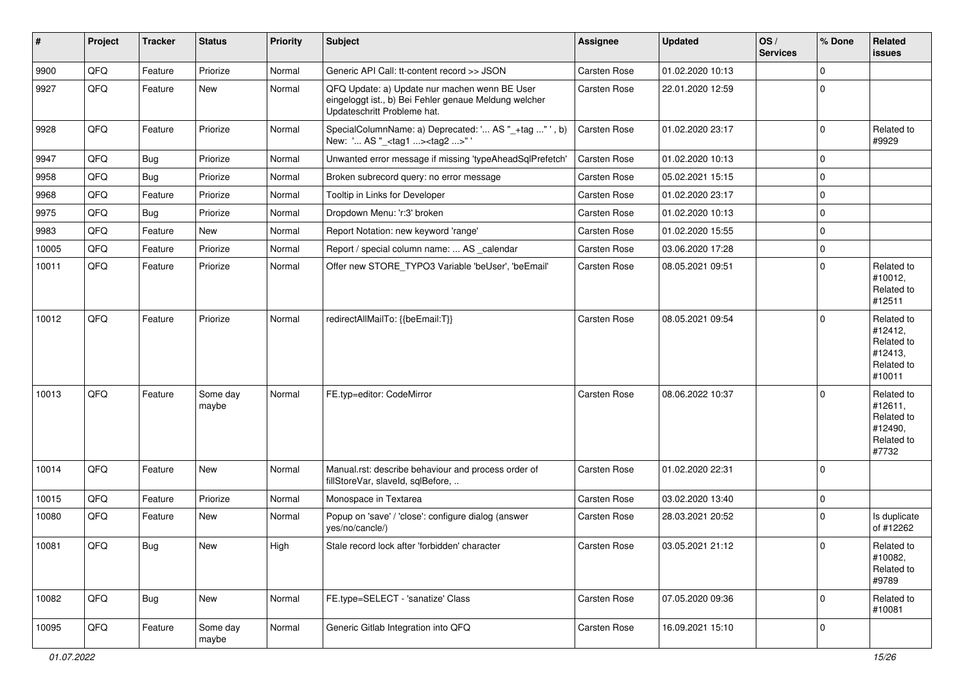| #     | Project | <b>Tracker</b> | <b>Status</b>     | <b>Priority</b> | <b>Subject</b>                                                                                                                        | Assignee            | <b>Updated</b>   | OS/<br><b>Services</b> | % Done       | Related<br>issues                                                      |
|-------|---------|----------------|-------------------|-----------------|---------------------------------------------------------------------------------------------------------------------------------------|---------------------|------------------|------------------------|--------------|------------------------------------------------------------------------|
| 9900  | QFQ     | Feature        | Priorize          | Normal          | Generic API Call: tt-content record >> JSON                                                                                           | Carsten Rose        | 01.02.2020 10:13 |                        | 0            |                                                                        |
| 9927  | QFQ     | Feature        | New               | Normal          | QFQ Update: a) Update nur machen wenn BE User<br>eingeloggt ist., b) Bei Fehler genaue Meldung welcher<br>Updateschritt Probleme hat. | Carsten Rose        | 22.01.2020 12:59 |                        | $\Omega$     |                                                                        |
| 9928  | QFQ     | Feature        | Priorize          | Normal          | SpecialColumnName: a) Deprecated: ' AS "_+tag " ', b)<br>New: ' AS "_ <tag1><tag2>"</tag2></tag1>                                     | Carsten Rose        | 01.02.2020 23:17 |                        | $\mathbf 0$  | Related to<br>#9929                                                    |
| 9947  | QFQ     | Bug            | Priorize          | Normal          | Unwanted error message if missing 'typeAheadSqlPrefetch'                                                                              | Carsten Rose        | 01.02.2020 10:13 |                        | 0            |                                                                        |
| 9958  | QFQ     | <b>Bug</b>     | Priorize          | Normal          | Broken subrecord query: no error message                                                                                              | Carsten Rose        | 05.02.2021 15:15 |                        | 0            |                                                                        |
| 9968  | QFQ     | Feature        | Priorize          | Normal          | Tooltip in Links for Developer                                                                                                        | Carsten Rose        | 01.02.2020 23:17 |                        | $\pmb{0}$    |                                                                        |
| 9975  | QFQ     | <b>Bug</b>     | Priorize          | Normal          | Dropdown Menu: 'r:3' broken                                                                                                           | Carsten Rose        | 01.02.2020 10:13 |                        | $\mathbf 0$  |                                                                        |
| 9983  | QFQ     | Feature        | New               | Normal          | Report Notation: new keyword 'range'                                                                                                  | Carsten Rose        | 01.02.2020 15:55 |                        | 0            |                                                                        |
| 10005 | QFQ     | Feature        | Priorize          | Normal          | Report / special column name:  AS _calendar                                                                                           | Carsten Rose        | 03.06.2020 17:28 |                        | $\mathbf 0$  |                                                                        |
| 10011 | QFQ     | Feature        | Priorize          | Normal          | Offer new STORE TYPO3 Variable 'beUser', 'beEmail'                                                                                    | Carsten Rose        | 08.05.2021 09:51 |                        | $\Omega$     | Related to<br>#10012,<br>Related to<br>#12511                          |
| 10012 | QFQ     | Feature        | Priorize          | Normal          | redirectAllMailTo: {{beEmail:T}}                                                                                                      | Carsten Rose        | 08.05.2021 09:54 |                        | $\mathbf 0$  | Related to<br>#12412,<br>Related to<br>#12413,<br>Related to<br>#10011 |
| 10013 | QFQ     | Feature        | Some day<br>maybe | Normal          | FE.typ=editor: CodeMirror                                                                                                             | Carsten Rose        | 08.06.2022 10:37 |                        | $\mathbf 0$  | Related to<br>#12611,<br>Related to<br>#12490,<br>Related to<br>#7732  |
| 10014 | QFQ     | Feature        | New               | Normal          | Manual.rst: describe behaviour and process order of<br>fillStoreVar, slaveId, sqlBefore,                                              | Carsten Rose        | 01.02.2020 22:31 |                        | $\mathbf 0$  |                                                                        |
| 10015 | QFQ     | Feature        | Priorize          | Normal          | Monospace in Textarea                                                                                                                 | Carsten Rose        | 03.02.2020 13:40 |                        | $\pmb{0}$    |                                                                        |
| 10080 | QFQ     | Feature        | New               | Normal          | Popup on 'save' / 'close': configure dialog (answer<br>yes/no/cancle/)                                                                | Carsten Rose        | 28.03.2021 20:52 |                        | $\mathbf 0$  | Is duplicate<br>of #12262                                              |
| 10081 | QFQ     | <b>Bug</b>     | New               | High            | Stale record lock after 'forbidden' character                                                                                         | <b>Carsten Rose</b> | 03.05.2021 21:12 |                        | $\pmb{0}$    | Related to<br>#10082,<br>Related to<br>#9789                           |
| 10082 | QFQ     | Bug            | New               | Normal          | FE.type=SELECT - 'sanatize' Class                                                                                                     | Carsten Rose        | 07.05.2020 09:36 |                        | $\mathbf{0}$ | Related to<br>#10081                                                   |
| 10095 | QFQ     | Feature        | Some day<br>maybe | Normal          | Generic Gitlab Integration into QFQ                                                                                                   | Carsten Rose        | 16.09.2021 15:10 |                        | 0            |                                                                        |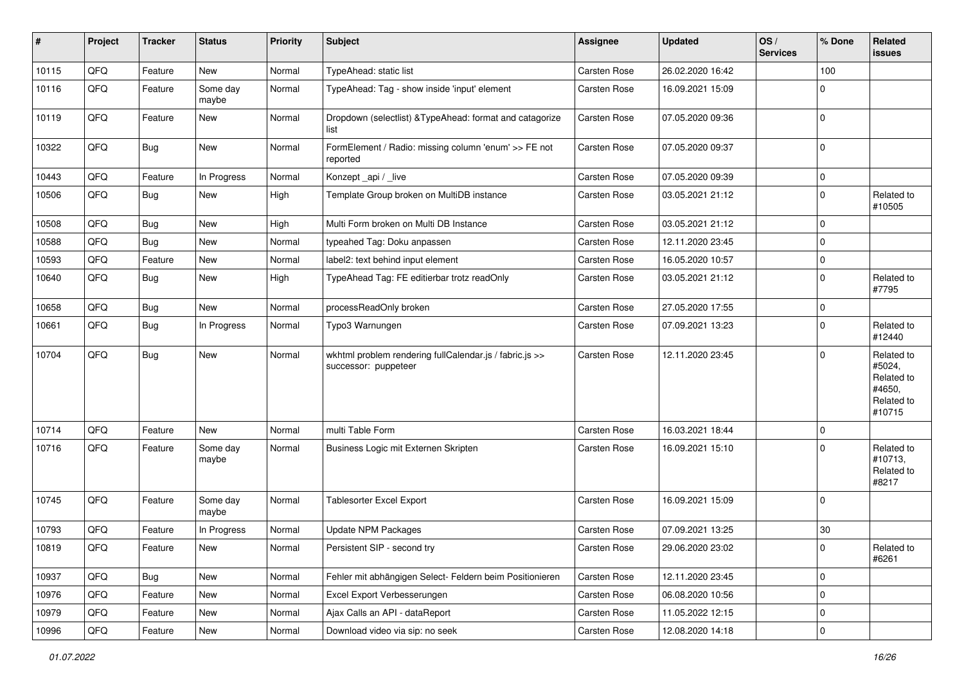| #     | Project | <b>Tracker</b> | <b>Status</b>     | <b>Priority</b> | <b>Subject</b>                                                                  | Assignee     | <b>Updated</b>   | OS/<br><b>Services</b> | % Done      | <b>Related</b><br>issues                                             |
|-------|---------|----------------|-------------------|-----------------|---------------------------------------------------------------------------------|--------------|------------------|------------------------|-------------|----------------------------------------------------------------------|
| 10115 | QFQ     | Feature        | New               | Normal          | TypeAhead: static list                                                          | Carsten Rose | 26.02.2020 16:42 |                        | 100         |                                                                      |
| 10116 | QFQ     | Feature        | Some day<br>maybe | Normal          | TypeAhead: Tag - show inside 'input' element                                    | Carsten Rose | 16.09.2021 15:09 |                        | $\Omega$    |                                                                      |
| 10119 | QFQ     | Feature        | New               | Normal          | Dropdown (selectlist) & TypeAhead: format and catagorize<br>list                | Carsten Rose | 07.05.2020 09:36 |                        | $\Omega$    |                                                                      |
| 10322 | QFQ     | <b>Bug</b>     | New               | Normal          | FormElement / Radio: missing column 'enum' >> FE not<br>reported                | Carsten Rose | 07.05.2020 09:37 |                        | $\mathbf 0$ |                                                                      |
| 10443 | QFQ     | Feature        | In Progress       | Normal          | Konzept_api / _live                                                             | Carsten Rose | 07.05.2020 09:39 |                        | $\mathbf 0$ |                                                                      |
| 10506 | QFQ     | <b>Bug</b>     | New               | High            | Template Group broken on MultiDB instance                                       | Carsten Rose | 03.05.2021 21:12 |                        | $\Omega$    | Related to<br>#10505                                                 |
| 10508 | QFQ     | <b>Bug</b>     | New               | High            | Multi Form broken on Multi DB Instance                                          | Carsten Rose | 03.05.2021 21:12 |                        | $\Omega$    |                                                                      |
| 10588 | QFQ     | Bug            | New               | Normal          | typeahed Tag: Doku anpassen                                                     | Carsten Rose | 12.11.2020 23:45 |                        | $\Omega$    |                                                                      |
| 10593 | QFQ     | Feature        | New               | Normal          | label2: text behind input element                                               | Carsten Rose | 16.05.2020 10:57 |                        | $\mathbf 0$ |                                                                      |
| 10640 | QFQ     | <b>Bug</b>     | New               | High            | TypeAhead Tag: FE editierbar trotz readOnly                                     | Carsten Rose | 03.05.2021 21:12 |                        | $\Omega$    | Related to<br>#7795                                                  |
| 10658 | QFQ     | <b>Bug</b>     | <b>New</b>        | Normal          | processReadOnly broken                                                          | Carsten Rose | 27.05.2020 17:55 |                        | $\Omega$    |                                                                      |
| 10661 | QFQ     | <b>Bug</b>     | In Progress       | Normal          | Typo3 Warnungen                                                                 | Carsten Rose | 07.09.2021 13:23 |                        | $\Omega$    | Related to<br>#12440                                                 |
| 10704 | QFQ     | Bug            | New               | Normal          | wkhtml problem rendering fullCalendar.js / fabric.js >><br>successor: puppeteer | Carsten Rose | 12.11.2020 23:45 |                        | $\Omega$    | Related to<br>#5024,<br>Related to<br>#4650,<br>Related to<br>#10715 |
| 10714 | QFQ     | Feature        | New               | Normal          | multi Table Form                                                                | Carsten Rose | 16.03.2021 18:44 |                        | $\mathbf 0$ |                                                                      |
| 10716 | QFQ     | Feature        | Some day<br>maybe | Normal          | Business Logic mit Externen Skripten                                            | Carsten Rose | 16.09.2021 15:10 |                        | $\Omega$    | Related to<br>#10713,<br>Related to<br>#8217                         |
| 10745 | QFQ     | Feature        | Some day<br>maybe | Normal          | <b>Tablesorter Excel Export</b>                                                 | Carsten Rose | 16.09.2021 15:09 |                        | $\Omega$    |                                                                      |
| 10793 | QFQ     | Feature        | In Progress       | Normal          | <b>Update NPM Packages</b>                                                      | Carsten Rose | 07.09.2021 13:25 |                        | $30\,$      |                                                                      |
| 10819 | QFQ     | Feature        | New               | Normal          | Persistent SIP - second try                                                     | Carsten Rose | 29.06.2020 23:02 |                        | O           | Related to<br>#6261                                                  |
| 10937 | QFQ     | Bug            | New               | Normal          | Fehler mit abhängigen Select- Feldern beim Positionieren                        | Carsten Rose | 12.11.2020 23:45 |                        | 0           |                                                                      |
| 10976 | QFQ     | Feature        | New               | Normal          | Excel Export Verbesserungen                                                     | Carsten Rose | 06.08.2020 10:56 |                        | 0           |                                                                      |
| 10979 | QFQ     | Feature        | New               | Normal          | Ajax Calls an API - dataReport                                                  | Carsten Rose | 11.05.2022 12:15 |                        | $\mathbf 0$ |                                                                      |
| 10996 | QFQ     | Feature        | New               | Normal          | Download video via sip: no seek                                                 | Carsten Rose | 12.08.2020 14:18 |                        | $\pmb{0}$   |                                                                      |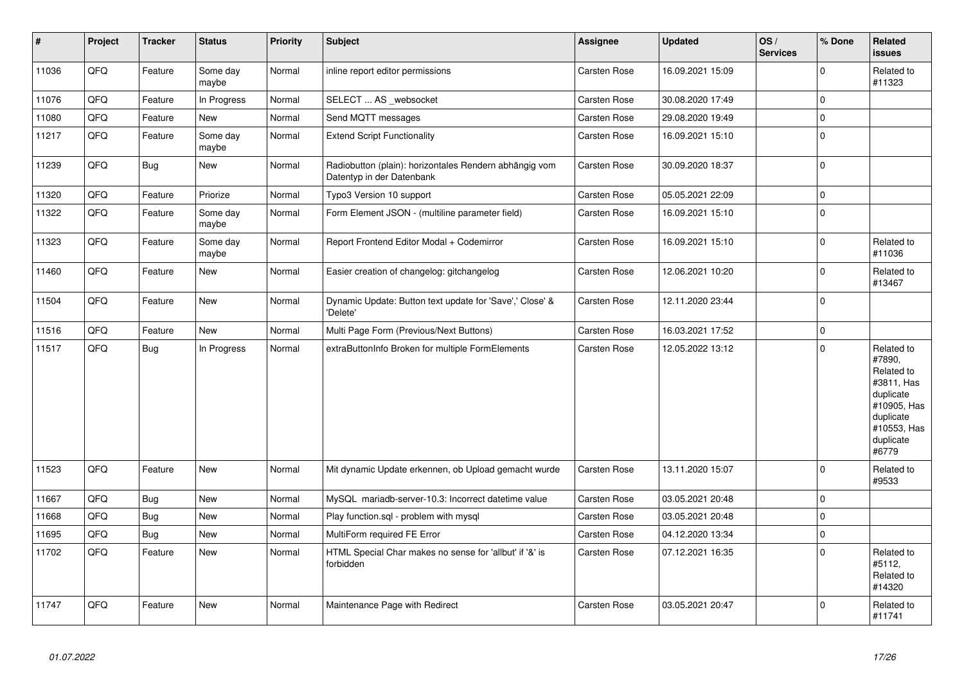| $\vert$ # | <b>Project</b> | <b>Tracker</b> | <b>Status</b>     | <b>Priority</b> | <b>Subject</b>                                                                      | Assignee            | <b>Updated</b>   | OS/<br><b>Services</b> | % Done      | Related<br><b>issues</b>                                                                                                       |
|-----------|----------------|----------------|-------------------|-----------------|-------------------------------------------------------------------------------------|---------------------|------------------|------------------------|-------------|--------------------------------------------------------------------------------------------------------------------------------|
| 11036     | QFQ            | Feature        | Some day<br>maybe | Normal          | inline report editor permissions                                                    | <b>Carsten Rose</b> | 16.09.2021 15:09 |                        | $\mathbf 0$ | Related to<br>#11323                                                                                                           |
| 11076     | QFQ            | Feature        | In Progress       | Normal          | SELECT  AS _websocket                                                               | <b>Carsten Rose</b> | 30.08.2020 17:49 |                        | $\mathbf 0$ |                                                                                                                                |
| 11080     | QFQ            | Feature        | New               | Normal          | Send MQTT messages                                                                  | Carsten Rose        | 29.08.2020 19:49 |                        | $\mathbf 0$ |                                                                                                                                |
| 11217     | QFQ            | Feature        | Some day<br>maybe | Normal          | <b>Extend Script Functionality</b>                                                  | Carsten Rose        | 16.09.2021 15:10 |                        | $\mathbf 0$ |                                                                                                                                |
| 11239     | QFQ            | <b>Bug</b>     | <b>New</b>        | Normal          | Radiobutton (plain): horizontales Rendern abhängig vom<br>Datentyp in der Datenbank | Carsten Rose        | 30.09.2020 18:37 |                        | $\mathbf 0$ |                                                                                                                                |
| 11320     | QFQ            | Feature        | Priorize          | Normal          | Typo3 Version 10 support                                                            | Carsten Rose        | 05.05.2021 22:09 |                        | $\pmb{0}$   |                                                                                                                                |
| 11322     | QFQ            | Feature        | Some day<br>maybe | Normal          | Form Element JSON - (multiline parameter field)                                     | <b>Carsten Rose</b> | 16.09.2021 15:10 |                        | $\mathbf 0$ |                                                                                                                                |
| 11323     | QFQ            | Feature        | Some day<br>maybe | Normal          | Report Frontend Editor Modal + Codemirror                                           | Carsten Rose        | 16.09.2021 15:10 |                        | $\mathbf 0$ | Related to<br>#11036                                                                                                           |
| 11460     | QFQ            | Feature        | <b>New</b>        | Normal          | Easier creation of changelog: gitchangelog                                          | <b>Carsten Rose</b> | 12.06.2021 10:20 |                        | $\mathbf 0$ | Related to<br>#13467                                                                                                           |
| 11504     | QFQ            | Feature        | <b>New</b>        | Normal          | Dynamic Update: Button text update for 'Save',' Close' &<br>'Delete'                | Carsten Rose        | 12.11.2020 23:44 |                        | $\mathbf 0$ |                                                                                                                                |
| 11516     | QFQ            | Feature        | <b>New</b>        | Normal          | Multi Page Form (Previous/Next Buttons)                                             | Carsten Rose        | 16.03.2021 17:52 |                        | $\mathbf 0$ |                                                                                                                                |
| 11517     | QFQ            | Bug            | In Progress       | Normal          | extraButtonInfo Broken for multiple FormElements                                    | <b>Carsten Rose</b> | 12.05.2022 13:12 |                        | $\mathbf 0$ | Related to<br>#7890,<br>Related to<br>#3811, Has<br>duplicate<br>#10905, Has<br>duplicate<br>#10553, Has<br>duplicate<br>#6779 |
| 11523     | QFQ            | Feature        | <b>New</b>        | Normal          | Mit dynamic Update erkennen, ob Upload gemacht wurde                                | Carsten Rose        | 13.11.2020 15:07 |                        | $\Omega$    | Related to<br>#9533                                                                                                            |
| 11667     | QFQ            | <b>Bug</b>     | New               | Normal          | MySQL mariadb-server-10.3: Incorrect datetime value                                 | Carsten Rose        | 03.05.2021 20:48 |                        | $\Omega$    |                                                                                                                                |
| 11668     | QFQ            | Bug            | <b>New</b>        | Normal          | Play function.sql - problem with mysql                                              | <b>Carsten Rose</b> | 03.05.2021 20:48 |                        | $\mathbf 0$ |                                                                                                                                |
| 11695     | QFQ            | Bug            | <b>New</b>        | Normal          | MultiForm required FE Error                                                         | Carsten Rose        | 04.12.2020 13:34 |                        | $\mathbf 0$ |                                                                                                                                |
| 11702     | QFQ            | Feature        | <b>New</b>        | Normal          | HTML Special Char makes no sense for 'allbut' if '&' is<br>forbidden                | Carsten Rose        | 07.12.2021 16:35 |                        | $\mathbf 0$ | Related to<br>#5112,<br>Related to<br>#14320                                                                                   |
| 11747     | QFQ            | Feature        | <b>New</b>        | Normal          | Maintenance Page with Redirect                                                      | Carsten Rose        | 03.05.2021 20:47 |                        | $\Omega$    | Related to<br>#11741                                                                                                           |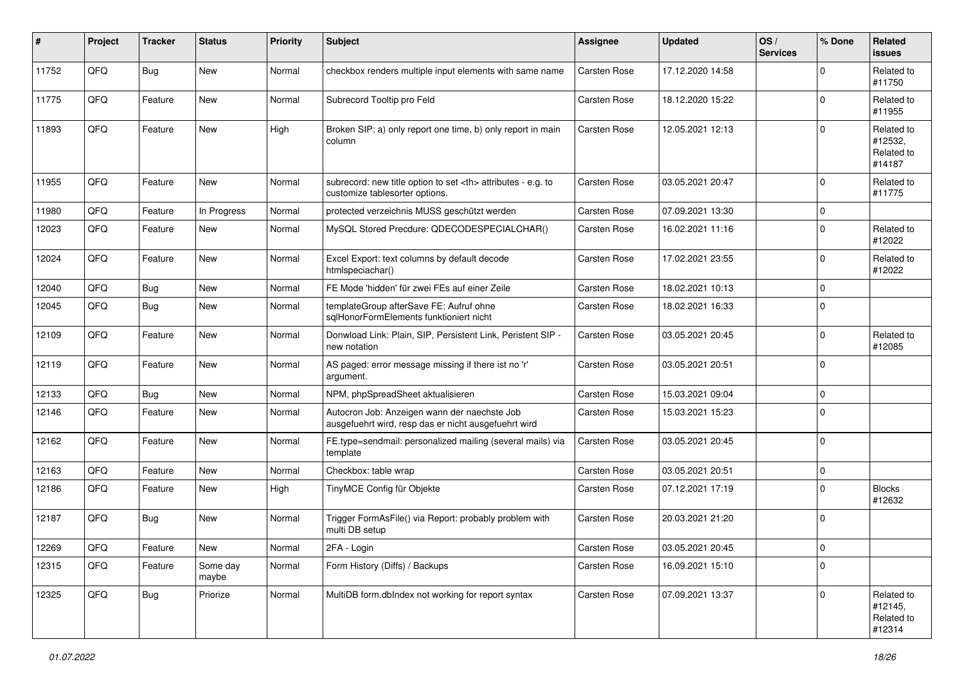| #     | Project | <b>Tracker</b> | <b>Status</b>     | <b>Priority</b> | <b>Subject</b>                                                                                       | Assignee                                               | <b>Updated</b>   | OS/<br><b>Services</b> | % Done      | Related<br><b>issues</b>                      |                      |
|-------|---------|----------------|-------------------|-----------------|------------------------------------------------------------------------------------------------------|--------------------------------------------------------|------------------|------------------------|-------------|-----------------------------------------------|----------------------|
| 11752 | QFQ     | Bug            | <b>New</b>        | Normal          | checkbox renders multiple input elements with same name                                              | <b>Carsten Rose</b>                                    | 17.12.2020 14:58 |                        | $\Omega$    | Related to<br>#11750                          |                      |
| 11775 | QFQ     | Feature        | <b>New</b>        | Normal          | Subrecord Tooltip pro Feld                                                                           | <b>Carsten Rose</b>                                    | 18.12.2020 15:22 |                        | $\Omega$    | Related to<br>#11955                          |                      |
| 11893 | QFQ     | Feature        | New               | High            | Broken SIP: a) only report one time, b) only report in main<br>column                                | <b>Carsten Rose</b>                                    | 12.05.2021 12:13 |                        | $\Omega$    | Related to<br>#12532,<br>Related to<br>#14187 |                      |
| 11955 | QFQ     | Feature        | <b>New</b>        | Normal          | subrecord: new title option to set <th> attributes - e.g. to<br/>customize tablesorter options.</th> | attributes - e.g. to<br>customize tablesorter options. | Carsten Rose     | 03.05.2021 20:47       |             | $\Omega$                                      | Related to<br>#11775 |
| 11980 | QFQ     | Feature        | In Progress       | Normal          | protected verzeichnis MUSS geschützt werden                                                          | <b>Carsten Rose</b>                                    | 07.09.2021 13:30 |                        | $\Omega$    |                                               |                      |
| 12023 | QFQ     | Feature        | <b>New</b>        | Normal          | MySQL Stored Precdure: QDECODESPECIALCHAR()                                                          | Carsten Rose                                           | 16.02.2021 11:16 |                        | $\Omega$    | Related to<br>#12022                          |                      |
| 12024 | QFQ     | Feature        | <b>New</b>        | Normal          | Excel Export: text columns by default decode<br>htmlspeciachar()                                     | Carsten Rose                                           | 17.02.2021 23:55 |                        | $\Omega$    | Related to<br>#12022                          |                      |
| 12040 | QFQ     | Bug            | New               | Normal          | FE Mode 'hidden' für zwei FEs auf einer Zeile                                                        | <b>Carsten Rose</b>                                    | 18.02.2021 10:13 |                        | $\Omega$    |                                               |                      |
| 12045 | QFQ     | Bug            | <b>New</b>        | Normal          | templateGroup afterSave FE: Aufruf ohne<br>sglHonorFormElements funktioniert nicht                   | Carsten Rose                                           | 18.02.2021 16:33 |                        | $\Omega$    |                                               |                      |
| 12109 | QFQ     | Feature        | New               | Normal          | Donwload Link: Plain, SIP, Persistent Link, Peristent SIP -<br>new notation                          | <b>Carsten Rose</b>                                    | 03.05.2021 20:45 |                        | $\Omega$    | Related to<br>#12085                          |                      |
| 12119 | QFQ     | Feature        | New               | Normal          | AS paged: error message missing if there ist no 'r'<br>argument.                                     | <b>Carsten Rose</b>                                    | 03.05.2021 20:51 |                        | $\Omega$    |                                               |                      |
| 12133 | QFQ     | Bug            | New               | Normal          | NPM, phpSpreadSheet aktualisieren                                                                    | <b>Carsten Rose</b>                                    | 15.03.2021 09:04 |                        | $\Omega$    |                                               |                      |
| 12146 | QFQ     | Feature        | New               | Normal          | Autocron Job: Anzeigen wann der naechste Job<br>ausgefuehrt wird, resp das er nicht ausgefuehrt wird | Carsten Rose                                           | 15.03.2021 15:23 |                        | $\Omega$    |                                               |                      |
| 12162 | QFQ     | Feature        | <b>New</b>        | Normal          | FE.type=sendmail: personalized mailing (several mails) via<br>template                               | <b>Carsten Rose</b>                                    | 03.05.2021 20:45 |                        | $\Omega$    |                                               |                      |
| 12163 | QFQ     | Feature        | <b>New</b>        | Normal          | Checkbox: table wrap                                                                                 | <b>Carsten Rose</b>                                    | 03.05.2021 20:51 |                        | $\mathbf 0$ |                                               |                      |
| 12186 | QFQ     | Feature        | New               | High            | TinyMCE Config für Objekte                                                                           | Carsten Rose                                           | 07.12.2021 17:19 |                        | $\Omega$    | <b>Blocks</b><br>#12632                       |                      |
| 12187 | QFQ     | Bug            | <b>New</b>        | Normal          | Trigger FormAsFile() via Report: probably problem with<br>multi DB setup                             | Carsten Rose                                           | 20.03.2021 21:20 |                        | $\Omega$    |                                               |                      |
| 12269 | QFG     | i Feature      | New               | Normal          | 2FA - Login                                                                                          | Carsten Rose                                           | 03.05.2021 20:45 |                        | 0           |                                               |                      |
| 12315 | QFQ     | Feature        | Some day<br>maybe | Normal          | Form History (Diffs) / Backups                                                                       | Carsten Rose                                           | 16.09.2021 15:10 |                        | $\Omega$    |                                               |                      |
| 12325 | QFQ     | <b>Bug</b>     | Priorize          | Normal          | MultiDB form.dblndex not working for report syntax                                                   | Carsten Rose                                           | 07.09.2021 13:37 |                        | $\Omega$    | Related to<br>#12145,<br>Related to<br>#12314 |                      |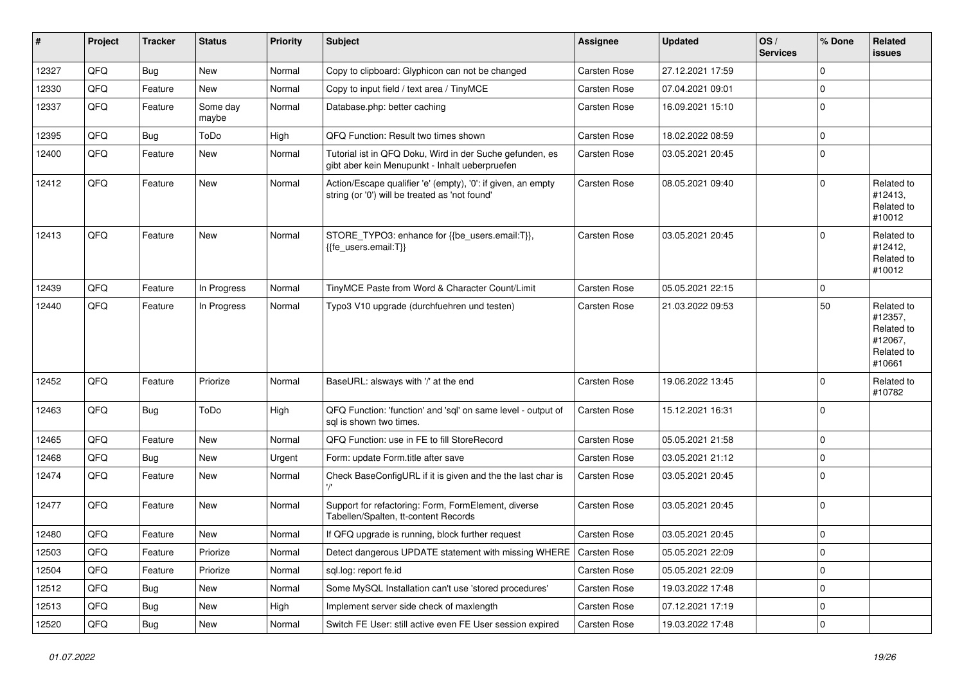| #     | Project | <b>Tracker</b> | <b>Status</b>     | Priority | Subject                                                                                                        | Assignee            | <b>Updated</b>   | OS/<br><b>Services</b> | % Done      | Related<br>issues                                                      |
|-------|---------|----------------|-------------------|----------|----------------------------------------------------------------------------------------------------------------|---------------------|------------------|------------------------|-------------|------------------------------------------------------------------------|
| 12327 | QFQ     | Bug            | New               | Normal   | Copy to clipboard: Glyphicon can not be changed                                                                | Carsten Rose        | 27.12.2021 17:59 |                        | $\Omega$    |                                                                        |
| 12330 | QFQ     | Feature        | New               | Normal   | Copy to input field / text area / TinyMCE                                                                      | Carsten Rose        | 07.04.2021 09:01 |                        | $\mathbf 0$ |                                                                        |
| 12337 | QFQ     | Feature        | Some day<br>maybe | Normal   | Database.php: better caching                                                                                   | Carsten Rose        | 16.09.2021 15:10 |                        | $\Omega$    |                                                                        |
| 12395 | QFQ     | Bug            | ToDo              | High     | QFQ Function: Result two times shown                                                                           | Carsten Rose        | 18.02.2022 08:59 |                        | $\mathbf 0$ |                                                                        |
| 12400 | QFQ     | Feature        | New               | Normal   | Tutorial ist in QFQ Doku, Wird in der Suche gefunden, es<br>gibt aber kein Menupunkt - Inhalt ueberpruefen     | Carsten Rose        | 03.05.2021 20:45 |                        | $\Omega$    |                                                                        |
| 12412 | QFQ     | Feature        | New               | Normal   | Action/Escape qualifier 'e' (empty), '0': if given, an empty<br>string (or '0') will be treated as 'not found' | Carsten Rose        | 08.05.2021 09:40 |                        | $\Omega$    | Related to<br>#12413,<br>Related to<br>#10012                          |
| 12413 | QFQ     | Feature        | New               | Normal   | STORE_TYPO3: enhance for {{be_users.email:T}},<br>{{fe users.email:T}}                                         | Carsten Rose        | 03.05.2021 20:45 |                        | $\Omega$    | Related to<br>#12412,<br>Related to<br>#10012                          |
| 12439 | QFQ     | Feature        | In Progress       | Normal   | TinyMCE Paste from Word & Character Count/Limit                                                                | Carsten Rose        | 05.05.2021 22:15 |                        | $\mathbf 0$ |                                                                        |
| 12440 | QFQ     | Feature        | In Progress       | Normal   | Typo3 V10 upgrade (durchfuehren und testen)                                                                    | Carsten Rose        | 21.03.2022 09:53 |                        | 50          | Related to<br>#12357,<br>Related to<br>#12067,<br>Related to<br>#10661 |
| 12452 | QFQ     | Feature        | Priorize          | Normal   | BaseURL: alsways with '/' at the end                                                                           | Carsten Rose        | 19.06.2022 13:45 |                        | $\Omega$    | Related to<br>#10782                                                   |
| 12463 | QFQ     | <b>Bug</b>     | ToDo              | High     | QFQ Function: 'function' and 'sql' on same level - output of<br>sal is shown two times.                        | Carsten Rose        | 15.12.2021 16:31 |                        | $\Omega$    |                                                                        |
| 12465 | QFQ     | Feature        | New               | Normal   | QFQ Function: use in FE to fill StoreRecord                                                                    | Carsten Rose        | 05.05.2021 21:58 |                        | $\mathbf 0$ |                                                                        |
| 12468 | QFQ     | <b>Bug</b>     | New               | Urgent   | Form: update Form.title after save                                                                             | Carsten Rose        | 03.05.2021 21:12 |                        | $\Omega$    |                                                                        |
| 12474 | QFQ     | Feature        | New               | Normal   | Check BaseConfigURL if it is given and the the last char is                                                    | <b>Carsten Rose</b> | 03.05.2021 20:45 |                        | $\Omega$    |                                                                        |
| 12477 | QFQ     | Feature        | New               | Normal   | Support for refactoring: Form, FormElement, diverse<br>Tabellen/Spalten, tt-content Records                    | Carsten Rose        | 03.05.2021 20:45 |                        | $\mathbf 0$ |                                                                        |
| 12480 | QFQ     | Feature        | New               | Normal   | If QFQ upgrade is running, block further request                                                               | Carsten Rose        | 03.05.2021 20:45 |                        | $\mathbf 0$ |                                                                        |
| 12503 | QFQ     | Feature        | Priorize          | Normal   | Detect dangerous UPDATE statement with missing WHERE   Carsten Rose                                            |                     | 05.05.2021 22:09 |                        | $\mathbf 0$ |                                                                        |
| 12504 | QFQ     | Feature        | Priorize          | Normal   | sql.log: report fe.id                                                                                          | Carsten Rose        | 05.05.2021 22:09 |                        | 0           |                                                                        |
| 12512 | QFQ     | <b>Bug</b>     | New               | Normal   | Some MySQL Installation can't use 'stored procedures'                                                          | Carsten Rose        | 19.03.2022 17:48 |                        | $\Omega$    |                                                                        |
| 12513 | QFQ     | <b>Bug</b>     | New               | High     | Implement server side check of maxlength                                                                       | Carsten Rose        | 07.12.2021 17:19 |                        | $\mathbf 0$ |                                                                        |
| 12520 | QFQ     | Bug            | New               | Normal   | Switch FE User: still active even FE User session expired                                                      | Carsten Rose        | 19.03.2022 17:48 |                        | 0           |                                                                        |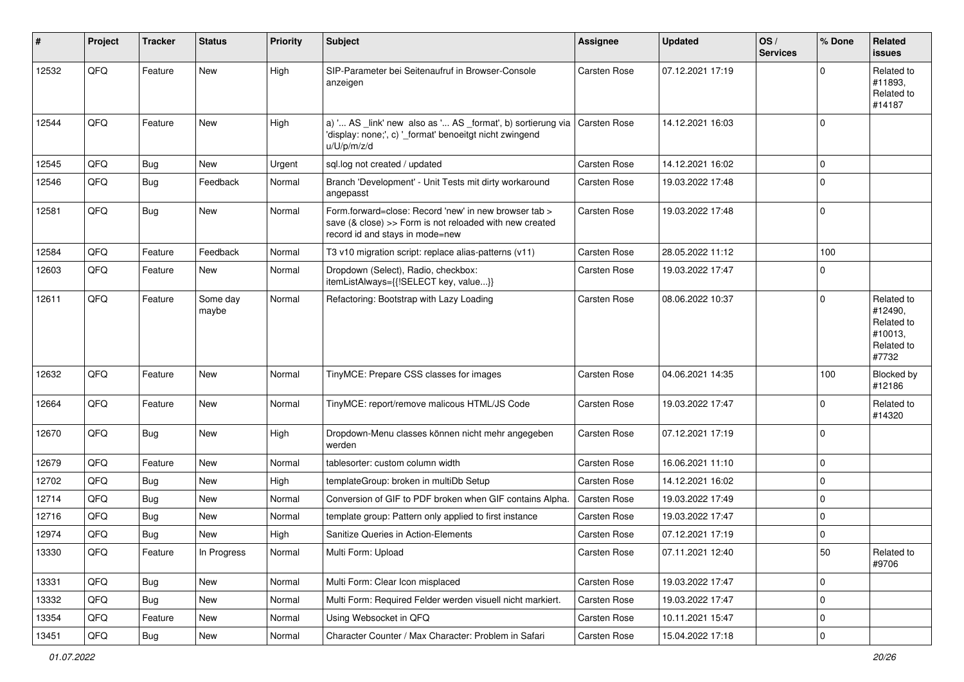| #     | Project | <b>Tracker</b> | <b>Status</b>     | <b>Priority</b> | Subject                                                                                                                                                        | Assignee            | <b>Updated</b>   | OS/<br><b>Services</b> | % Done      | Related<br><b>issues</b>                                              |
|-------|---------|----------------|-------------------|-----------------|----------------------------------------------------------------------------------------------------------------------------------------------------------------|---------------------|------------------|------------------------|-------------|-----------------------------------------------------------------------|
| 12532 | QFQ     | Feature        | New               | High            | SIP-Parameter bei Seitenaufruf in Browser-Console<br>anzeigen                                                                                                  | Carsten Rose        | 07.12.2021 17:19 |                        | $\mathbf 0$ | Related to<br>#11893,<br>Related to<br>#14187                         |
| 12544 | QFQ     | Feature        | <b>New</b>        | High            | a) ' AS _link' new also as ' AS _format', b) sortierung via<br>'display: none;', c) '_format' benoeitgt nicht zwingend<br>u/U/p/m/z/d                          | Carsten Rose        | 14.12.2021 16:03 |                        | $\mathbf 0$ |                                                                       |
| 12545 | QFQ     | <b>Bug</b>     | New               | Urgent          | sql.log not created / updated                                                                                                                                  | Carsten Rose        | 14.12.2021 16:02 |                        | $\mathbf 0$ |                                                                       |
| 12546 | QFQ     | Bug            | Feedback          | Normal          | Branch 'Development' - Unit Tests mit dirty workaround<br>angepasst                                                                                            | Carsten Rose        | 19.03.2022 17:48 |                        | $\mathbf 0$ |                                                                       |
| 12581 | QFQ     | Bug            | New               | Normal          | Form.forward=close: Record 'new' in new browser tab ><br>save $(8 \text{ close}) \gg$ Form is not reloaded with new created<br>record id and stays in mode=new | Carsten Rose        | 19.03.2022 17:48 |                        | $\mathbf 0$ |                                                                       |
| 12584 | QFQ     | Feature        | Feedback          | Normal          | T3 v10 migration script: replace alias-patterns (v11)                                                                                                          | Carsten Rose        | 28.05.2022 11:12 |                        | 100         |                                                                       |
| 12603 | QFQ     | Feature        | New               | Normal          | Dropdown (Select), Radio, checkbox:<br>itemListAlways={{!SELECT key, value}}                                                                                   | Carsten Rose        | 19.03.2022 17:47 |                        | $\mathbf 0$ |                                                                       |
| 12611 | QFQ     | Feature        | Some day<br>maybe | Normal          | Refactoring: Bootstrap with Lazy Loading                                                                                                                       | Carsten Rose        | 08.06.2022 10:37 |                        | $\mathbf 0$ | Related to<br>#12490,<br>Related to<br>#10013,<br>Related to<br>#7732 |
| 12632 | QFQ     | Feature        | New               | Normal          | TinyMCE: Prepare CSS classes for images                                                                                                                        | Carsten Rose        | 04.06.2021 14:35 |                        | 100         | Blocked by<br>#12186                                                  |
| 12664 | QFQ     | Feature        | New               | Normal          | TinyMCE: report/remove malicous HTML/JS Code                                                                                                                   | Carsten Rose        | 19.03.2022 17:47 |                        | $\mathbf 0$ | Related to<br>#14320                                                  |
| 12670 | QFQ     | Bug            | New               | High            | Dropdown-Menu classes können nicht mehr angegeben<br>werden                                                                                                    | Carsten Rose        | 07.12.2021 17:19 |                        | $\mathbf 0$ |                                                                       |
| 12679 | QFQ     | Feature        | <b>New</b>        | Normal          | tablesorter: custom column width                                                                                                                               | Carsten Rose        | 16.06.2021 11:10 |                        | $\mathbf 0$ |                                                                       |
| 12702 | QFQ     | <b>Bug</b>     | New               | High            | templateGroup: broken in multiDb Setup                                                                                                                         | Carsten Rose        | 14.12.2021 16:02 |                        | $\mathbf 0$ |                                                                       |
| 12714 | QFQ     | <b>Bug</b>     | New               | Normal          | Conversion of GIF to PDF broken when GIF contains Alpha.                                                                                                       | <b>Carsten Rose</b> | 19.03.2022 17:49 |                        | $\mathbf 0$ |                                                                       |
| 12716 | QFQ     | <b>Bug</b>     | New               | Normal          | template group: Pattern only applied to first instance                                                                                                         | Carsten Rose        | 19.03.2022 17:47 |                        | $\mathbf 0$ |                                                                       |
| 12974 | QFQ     | <b>Bug</b>     | New               | High            | Sanitize Queries in Action-Elements                                                                                                                            | Carsten Rose        | 07.12.2021 17:19 |                        | $\mathbf 0$ |                                                                       |
| 13330 | QFQ     | Feature        | In Progress       | Normal          | Multi Form: Upload                                                                                                                                             | Carsten Rose        | 07.11.2021 12:40 |                        | 50          | Related to<br>#9706                                                   |
| 13331 | QFQ     | Bug            | New               | Normal          | Multi Form: Clear Icon misplaced                                                                                                                               | Carsten Rose        | 19.03.2022 17:47 |                        | $\mathbf 0$ |                                                                       |
| 13332 | QFQ     | Bug            | New               | Normal          | Multi Form: Required Felder werden visuell nicht markiert.                                                                                                     | Carsten Rose        | 19.03.2022 17:47 |                        | $\mathbf 0$ |                                                                       |
| 13354 | QFQ     | Feature        | New               | Normal          | Using Websocket in QFQ                                                                                                                                         | Carsten Rose        | 10.11.2021 15:47 |                        | $\pmb{0}$   |                                                                       |
| 13451 | QFQ     | Bug            | New               | Normal          | Character Counter / Max Character: Problem in Safari                                                                                                           | Carsten Rose        | 15.04.2022 17:18 |                        | $\pmb{0}$   |                                                                       |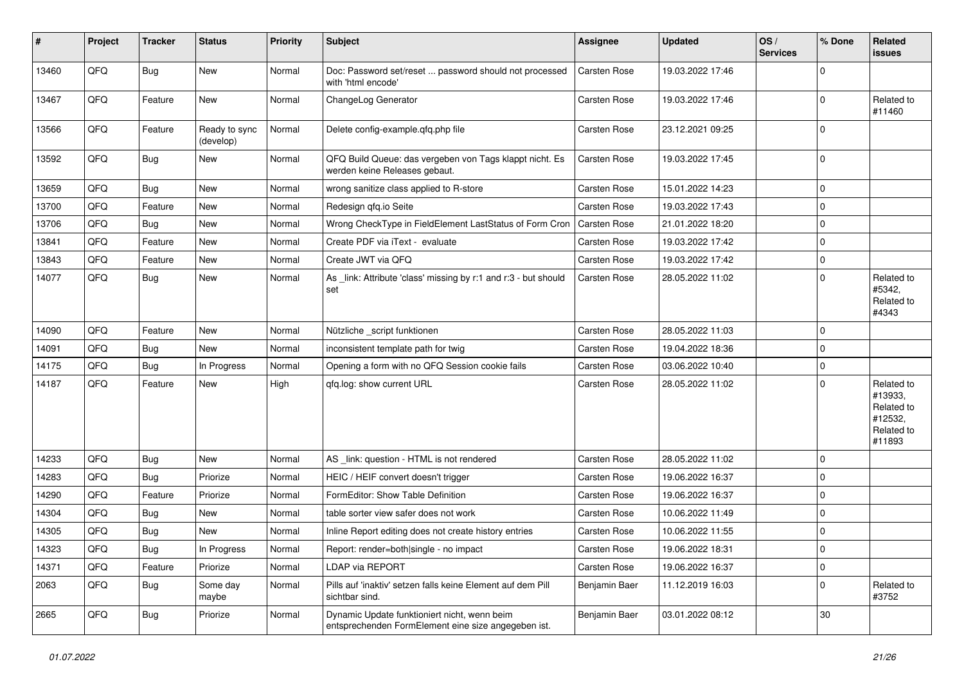| $\sharp$ | Project | <b>Tracker</b> | <b>Status</b>              | <b>Priority</b> | Subject                                                                                             | Assignee            | <b>Updated</b>   | OS/<br><b>Services</b> | % Done      | <b>Related</b><br>issues                                               |
|----------|---------|----------------|----------------------------|-----------------|-----------------------------------------------------------------------------------------------------|---------------------|------------------|------------------------|-------------|------------------------------------------------------------------------|
| 13460    | QFQ     | Bug            | <b>New</b>                 | Normal          | Doc: Password set/reset  password should not processed<br>with 'html encode'                        | Carsten Rose        | 19.03.2022 17:46 |                        | $\Omega$    |                                                                        |
| 13467    | QFQ     | Feature        | New                        | Normal          | ChangeLog Generator                                                                                 | <b>Carsten Rose</b> | 19.03.2022 17:46 |                        | 0           | Related to<br>#11460                                                   |
| 13566    | QFQ     | Feature        | Ready to sync<br>(develop) | Normal          | Delete config-example.qfq.php file                                                                  | Carsten Rose        | 23.12.2021 09:25 |                        | $\Omega$    |                                                                        |
| 13592    | QFQ     | <b>Bug</b>     | New                        | Normal          | QFQ Build Queue: das vergeben von Tags klappt nicht. Es<br>werden keine Releases gebaut.            | <b>Carsten Rose</b> | 19.03.2022 17:45 |                        | 0           |                                                                        |
| 13659    | QFQ     | Bug            | <b>New</b>                 | Normal          | wrong sanitize class applied to R-store                                                             | <b>Carsten Rose</b> | 15.01.2022 14:23 |                        | $\mathbf 0$ |                                                                        |
| 13700    | QFQ     | Feature        | New                        | Normal          | Redesign qfq.io Seite                                                                               | <b>Carsten Rose</b> | 19.03.2022 17:43 |                        | $\mathbf 0$ |                                                                        |
| 13706    | QFQ     | <b>Bug</b>     | New                        | Normal          | Wrong CheckType in FieldElement LastStatus of Form Cron                                             | Carsten Rose        | 21.01.2022 18:20 |                        | $\mathbf 0$ |                                                                        |
| 13841    | QFQ     | Feature        | New                        | Normal          | Create PDF via iText - evaluate                                                                     | <b>Carsten Rose</b> | 19.03.2022 17:42 |                        | $\mathbf 0$ |                                                                        |
| 13843    | QFQ     | Feature        | New                        | Normal          | Create JWT via QFQ                                                                                  | <b>Carsten Rose</b> | 19.03.2022 17:42 |                        | $\mathbf 0$ |                                                                        |
| 14077    | QFQ     | Bug            | New                        | Normal          | As _link: Attribute 'class' missing by r:1 and r:3 - but should<br>set                              | <b>Carsten Rose</b> | 28.05.2022 11:02 |                        | $\mathbf 0$ | Related to<br>#5342,<br>Related to<br>#4343                            |
| 14090    | QFQ     | Feature        | New                        | Normal          | Nützliche _script funktionen                                                                        | <b>Carsten Rose</b> | 28.05.2022 11:03 |                        | $\mathbf 0$ |                                                                        |
| 14091    | QFQ     | <b>Bug</b>     | New                        | Normal          | inconsistent template path for twig                                                                 | <b>Carsten Rose</b> | 19.04.2022 18:36 |                        | $\mathbf 0$ |                                                                        |
| 14175    | QFQ     | Bug            | In Progress                | Normal          | Opening a form with no QFQ Session cookie fails                                                     | <b>Carsten Rose</b> | 03.06.2022 10:40 |                        | $\mathbf 0$ |                                                                        |
| 14187    | QFQ     | Feature        | New                        | High            | qfq.log: show current URL                                                                           | Carsten Rose        | 28.05.2022 11:02 |                        | $\mathbf 0$ | Related to<br>#13933,<br>Related to<br>#12532,<br>Related to<br>#11893 |
| 14233    | QFQ     | <b>Bug</b>     | New                        | Normal          | AS_link: question - HTML is not rendered                                                            | <b>Carsten Rose</b> | 28.05.2022 11:02 |                        | $\mathbf 0$ |                                                                        |
| 14283    | QFQ     | Bug            | Priorize                   | Normal          | HEIC / HEIF convert doesn't trigger                                                                 | Carsten Rose        | 19.06.2022 16:37 |                        | $\mathbf 0$ |                                                                        |
| 14290    | QFQ     | Feature        | Priorize                   | Normal          | FormEditor: Show Table Definition                                                                   | <b>Carsten Rose</b> | 19.06.2022 16:37 |                        | 0           |                                                                        |
| 14304    | QFQ     | <b>Bug</b>     | New                        | Normal          | table sorter view safer does not work                                                               | <b>Carsten Rose</b> | 10.06.2022 11:49 |                        | $\mathbf 0$ |                                                                        |
| 14305    | QFQ     | Bug            | New                        | Normal          | Inline Report editing does not create history entries                                               | Carsten Rose        | 10.06.2022 11:55 |                        | $\mathbf 0$ |                                                                        |
| 14323    | QFQ     | Bug            | In Progress                | Normal          | Report: render=both single - no impact                                                              | Carsten Rose        | 19.06.2022 18:31 |                        | 0           |                                                                        |
| 14371    | QFQ     | Feature        | Priorize                   | Normal          | <b>LDAP via REPORT</b>                                                                              | Carsten Rose        | 19.06.2022 16:37 |                        | $\mathbf 0$ |                                                                        |
| 2063     | QFQ     | <b>Bug</b>     | Some day<br>maybe          | Normal          | Pills auf 'inaktiv' setzen falls keine Element auf dem Pill<br>sichtbar sind.                       | Benjamin Baer       | 11.12.2019 16:03 |                        | $\mathbf 0$ | Related to<br>#3752                                                    |
| 2665     | QFQ     | <b>Bug</b>     | Priorize                   | Normal          | Dynamic Update funktioniert nicht, wenn beim<br>entsprechenden FormElement eine size angegeben ist. | Benjamin Baer       | 03.01.2022 08:12 |                        | 30          |                                                                        |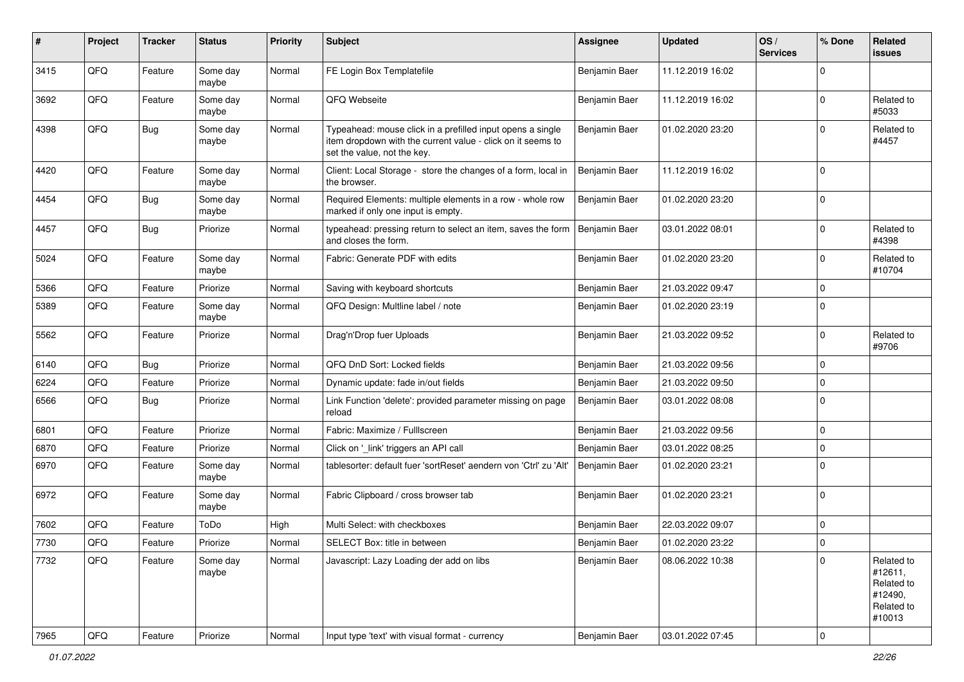| #    | Project        | <b>Tracker</b> | <b>Status</b>     | <b>Priority</b> | <b>Subject</b>                                                                                                                                           | <b>Assignee</b> | <b>Updated</b>   | OS/<br><b>Services</b> | % Done      | Related<br>issues                                                      |
|------|----------------|----------------|-------------------|-----------------|----------------------------------------------------------------------------------------------------------------------------------------------------------|-----------------|------------------|------------------------|-------------|------------------------------------------------------------------------|
| 3415 | QFQ            | Feature        | Some day<br>maybe | Normal          | FE Login Box Templatefile                                                                                                                                | Benjamin Baer   | 11.12.2019 16:02 |                        | $\Omega$    |                                                                        |
| 3692 | QFQ            | Feature        | Some day<br>maybe | Normal          | QFQ Webseite                                                                                                                                             | Benjamin Baer   | 11.12.2019 16:02 |                        | $\Omega$    | Related to<br>#5033                                                    |
| 4398 | QFQ            | Bug            | Some day<br>maybe | Normal          | Typeahead: mouse click in a prefilled input opens a single<br>item dropdown with the current value - click on it seems to<br>set the value, not the key. | Benjamin Baer   | 01.02.2020 23:20 |                        | $\Omega$    | Related to<br>#4457                                                    |
| 4420 | QFQ            | Feature        | Some day<br>maybe | Normal          | Client: Local Storage - store the changes of a form, local in<br>the browser.                                                                            | Benjamin Baer   | 11.12.2019 16:02 |                        | $\Omega$    |                                                                        |
| 4454 | QFQ            | <b>Bug</b>     | Some day<br>maybe | Normal          | Required Elements: multiple elements in a row - whole row<br>marked if only one input is empty.                                                          | Benjamin Baer   | 01.02.2020 23:20 |                        | $\Omega$    |                                                                        |
| 4457 | QFQ            | Bug            | Priorize          | Normal          | typeahead: pressing return to select an item, saves the form<br>and closes the form.                                                                     | Benjamin Baer   | 03.01.2022 08:01 |                        | $\Omega$    | Related to<br>#4398                                                    |
| 5024 | QFQ            | Feature        | Some day<br>maybe | Normal          | Fabric: Generate PDF with edits                                                                                                                          | Benjamin Baer   | 01.02.2020 23:20 |                        | $\Omega$    | Related to<br>#10704                                                   |
| 5366 | QFQ            | Feature        | Priorize          | Normal          | Saving with keyboard shortcuts                                                                                                                           | Benjamin Baer   | 21.03.2022 09:47 |                        | $\Omega$    |                                                                        |
| 5389 | QFQ            | Feature        | Some day<br>maybe | Normal          | QFQ Design: Multline label / note                                                                                                                        | Benjamin Baer   | 01.02.2020 23:19 |                        | $\Omega$    |                                                                        |
| 5562 | QFQ            | Feature        | Priorize          | Normal          | Drag'n'Drop fuer Uploads                                                                                                                                 | Benjamin Baer   | 21.03.2022 09:52 |                        | $\Omega$    | Related to<br>#9706                                                    |
| 6140 | QFQ            | Bug            | Priorize          | Normal          | QFQ DnD Sort: Locked fields                                                                                                                              | Benjamin Baer   | 21.03.2022 09:56 |                        | $\Omega$    |                                                                        |
| 6224 | QFQ            | Feature        | Priorize          | Normal          | Dynamic update: fade in/out fields                                                                                                                       | Benjamin Baer   | 21.03.2022 09:50 |                        | $\Omega$    |                                                                        |
| 6566 | QFQ            | <b>Bug</b>     | Priorize          | Normal          | Link Function 'delete': provided parameter missing on page<br>reload                                                                                     | Benjamin Baer   | 03.01.2022 08:08 |                        | $\Omega$    |                                                                        |
| 6801 | QFQ            | Feature        | Priorize          | Normal          | Fabric: Maximize / FullIscreen                                                                                                                           | Benjamin Baer   | 21.03.2022 09:56 |                        | $\Omega$    |                                                                        |
| 6870 | QFQ            | Feature        | Priorize          | Normal          | Click on '_link' triggers an API call                                                                                                                    | Benjamin Baer   | 03.01.2022 08:25 |                        | $\Omega$    |                                                                        |
| 6970 | QFQ            | Feature        | Some day<br>maybe | Normal          | tablesorter: default fuer 'sortReset' aendern von 'Ctrl' zu 'Alt'                                                                                        | Benjamin Baer   | 01.02.2020 23:21 |                        | $\Omega$    |                                                                        |
| 6972 | QFQ            | Feature        | Some day<br>maybe | Normal          | Fabric Clipboard / cross browser tab                                                                                                                     | Benjamin Baer   | 01.02.2020 23:21 |                        | $\Omega$    |                                                                        |
| 7602 | QFQ            | Feature        | ToDo              | High            | Multi Select: with checkboxes                                                                                                                            | Benjamin Baer   | 22.03.2022 09:07 |                        | $\mathbf 0$ |                                                                        |
| 7730 | QFQ            | Feature        | Priorize          | Normal          | SELECT Box: title in between                                                                                                                             | Benjamin Baer   | 01.02.2020 23:22 |                        | $\Omega$    |                                                                        |
| 7732 | QFQ            | Feature        | Some day<br>maybe | Normal          | Javascript: Lazy Loading der add on libs                                                                                                                 | Benjamin Baer   | 08.06.2022 10:38 |                        | $\Omega$    | Related to<br>#12611,<br>Related to<br>#12490,<br>Related to<br>#10013 |
| 7965 | $\mathsf{QFQ}$ | Feature        | Priorize          | Normal          | Input type 'text' with visual format - currency                                                                                                          | Benjamin Baer   | 03.01.2022 07:45 |                        | $\mathbf 0$ |                                                                        |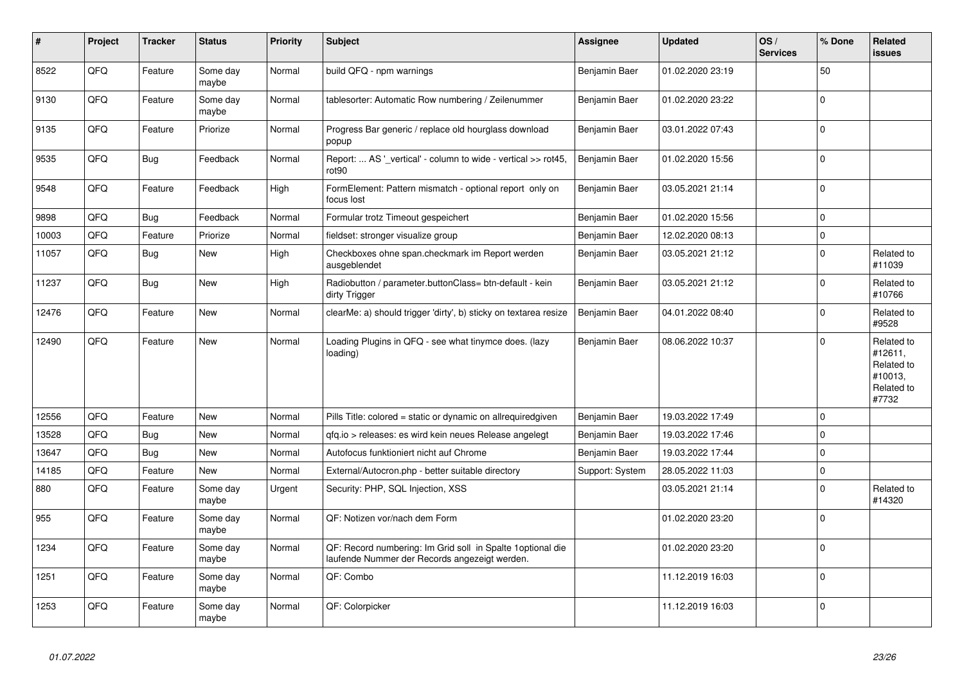| #     | Project | <b>Tracker</b> | <b>Status</b>     | <b>Priority</b> | <b>Subject</b>                                                                                               | Assignee        | <b>Updated</b>   | OS/<br><b>Services</b> | % Done      | <b>Related</b><br><b>issues</b>                                       |
|-------|---------|----------------|-------------------|-----------------|--------------------------------------------------------------------------------------------------------------|-----------------|------------------|------------------------|-------------|-----------------------------------------------------------------------|
| 8522  | QFQ     | Feature        | Some day<br>maybe | Normal          | build QFQ - npm warnings                                                                                     | Benjamin Baer   | 01.02.2020 23:19 |                        | 50          |                                                                       |
| 9130  | QFQ     | Feature        | Some day<br>maybe | Normal          | tablesorter: Automatic Row numbering / Zeilenummer                                                           | Benjamin Baer   | 01.02.2020 23:22 |                        | $\mathbf 0$ |                                                                       |
| 9135  | QFQ     | Feature        | Priorize          | Normal          | Progress Bar generic / replace old hourglass download<br>popup                                               | Benjamin Baer   | 03.01.2022 07:43 |                        | $\mathbf 0$ |                                                                       |
| 9535  | QFQ     | Bug            | Feedback          | Normal          | Report:  AS ' vertical' - column to wide - vertical >> rot45,<br>rot90                                       | Benjamin Baer   | 01.02.2020 15:56 |                        | $\mathbf 0$ |                                                                       |
| 9548  | QFQ     | Feature        | Feedback          | High            | FormElement: Pattern mismatch - optional report only on<br>focus lost                                        | Benjamin Baer   | 03.05.2021 21:14 |                        | $\mathbf 0$ |                                                                       |
| 9898  | QFQ     | <b>Bug</b>     | Feedback          | Normal          | Formular trotz Timeout gespeichert                                                                           | Benjamin Baer   | 01.02.2020 15:56 |                        | $\Omega$    |                                                                       |
| 10003 | QFQ     | Feature        | Priorize          | Normal          | fieldset: stronger visualize group                                                                           | Benjamin Baer   | 12.02.2020 08:13 |                        | $\Omega$    |                                                                       |
| 11057 | QFQ     | <b>Bug</b>     | <b>New</b>        | High            | Checkboxes ohne span.checkmark im Report werden<br>ausgeblendet                                              | Benjamin Baer   | 03.05.2021 21:12 |                        | $\mathbf 0$ | Related to<br>#11039                                                  |
| 11237 | QFQ     | <b>Bug</b>     | <b>New</b>        | High            | Radiobutton / parameter.buttonClass= btn-default - kein<br>dirty Trigger                                     | Benjamin Baer   | 03.05.2021 21:12 |                        | $\Omega$    | Related to<br>#10766                                                  |
| 12476 | QFQ     | Feature        | <b>New</b>        | Normal          | clearMe: a) should trigger 'dirty', b) sticky on textarea resize                                             | Benjamin Baer   | 04.01.2022 08:40 |                        | $\mathbf 0$ | Related to<br>#9528                                                   |
| 12490 | QFQ     | Feature        | <b>New</b>        | Normal          | Loading Plugins in QFQ - see what tinymce does. (lazy<br>loading)                                            | Benjamin Baer   | 08.06.2022 10:37 |                        | $\mathbf 0$ | Related to<br>#12611.<br>Related to<br>#10013,<br>Related to<br>#7732 |
| 12556 | QFQ     | Feature        | <b>New</b>        | Normal          | Pills Title: colored = static or dynamic on allrequiredgiven                                                 | Benjamin Baer   | 19.03.2022 17:49 |                        | $\mathbf 0$ |                                                                       |
| 13528 | QFQ     | Bug            | <b>New</b>        | Normal          | gfg.io > releases: es wird kein neues Release angelegt                                                       | Benjamin Baer   | 19.03.2022 17:46 |                        | $\Omega$    |                                                                       |
| 13647 | QFQ     | <b>Bug</b>     | <b>New</b>        | Normal          | Autofocus funktioniert nicht auf Chrome                                                                      | Benjamin Baer   | 19.03.2022 17:44 |                        | $\mathbf 0$ |                                                                       |
| 14185 | QFQ     | Feature        | New               | Normal          | External/Autocron.php - better suitable directory                                                            | Support: System | 28.05.2022 11:03 |                        | $\mathbf 0$ |                                                                       |
| 880   | QFQ     | Feature        | Some day<br>maybe | Urgent          | Security: PHP, SQL Injection, XSS                                                                            |                 | 03.05.2021 21:14 |                        | $\mathbf 0$ | Related to<br>#14320                                                  |
| 955   | QFQ     | Feature        | Some day<br>maybe | Normal          | QF: Notizen vor/nach dem Form                                                                                |                 | 01.02.2020 23:20 |                        | $\Omega$    |                                                                       |
| 1234  | QFQ     | Feature        | Some day<br>maybe | Normal          | QF: Record numbering: Im Grid soll in Spalte 1 optional die<br>laufende Nummer der Records angezeigt werden. |                 | 01.02.2020 23:20 |                        | $\Omega$    |                                                                       |
| 1251  | QFQ     | Feature        | Some day<br>maybe | Normal          | QF: Combo                                                                                                    |                 | 11.12.2019 16:03 |                        | $\mathbf 0$ |                                                                       |
| 1253  | QFQ     | Feature        | Some day<br>maybe | Normal          | QF: Colorpicker                                                                                              |                 | 11.12.2019 16:03 |                        | $\mathbf 0$ |                                                                       |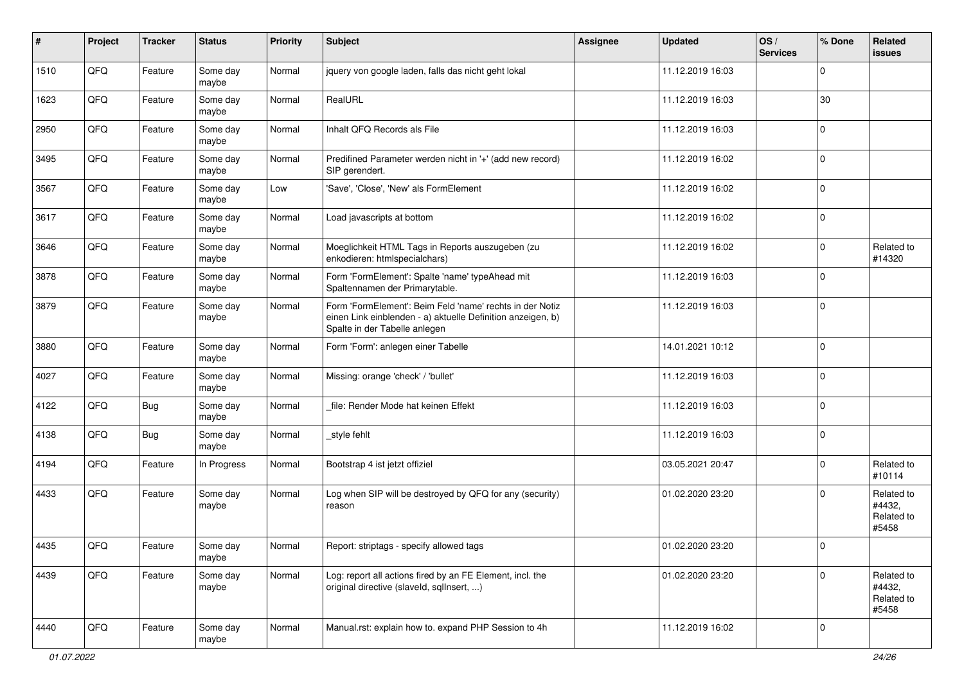| #    | Project | <b>Tracker</b> | <b>Status</b>     | <b>Priority</b> | Subject                                                                                                                                                  | <b>Assignee</b> | <b>Updated</b>   | OS/<br><b>Services</b> | % Done      | Related<br>issues                           |
|------|---------|----------------|-------------------|-----------------|----------------------------------------------------------------------------------------------------------------------------------------------------------|-----------------|------------------|------------------------|-------------|---------------------------------------------|
| 1510 | QFQ     | Feature        | Some day<br>maybe | Normal          | jquery von google laden, falls das nicht geht lokal                                                                                                      |                 | 11.12.2019 16:03 |                        | $\mathbf 0$ |                                             |
| 1623 | QFQ     | Feature        | Some day<br>maybe | Normal          | RealURL                                                                                                                                                  |                 | 11.12.2019 16:03 |                        | 30          |                                             |
| 2950 | QFQ     | Feature        | Some day<br>maybe | Normal          | Inhalt QFQ Records als File                                                                                                                              |                 | 11.12.2019 16:03 |                        | $\Omega$    |                                             |
| 3495 | QFQ     | Feature        | Some day<br>maybe | Normal          | Predifined Parameter werden nicht in '+' (add new record)<br>SIP gerendert.                                                                              |                 | 11.12.2019 16:02 |                        | $\Omega$    |                                             |
| 3567 | QFQ     | Feature        | Some day<br>maybe | Low             | 'Save', 'Close', 'New' als FormElement                                                                                                                   |                 | 11.12.2019 16:02 |                        | $\Omega$    |                                             |
| 3617 | QFQ     | Feature        | Some day<br>maybe | Normal          | Load javascripts at bottom                                                                                                                               |                 | 11.12.2019 16:02 |                        | $\Omega$    |                                             |
| 3646 | QFQ     | Feature        | Some day<br>maybe | Normal          | Moeglichkeit HTML Tags in Reports auszugeben (zu<br>enkodieren: htmlspecialchars)                                                                        |                 | 11.12.2019 16:02 |                        | $\Omega$    | Related to<br>#14320                        |
| 3878 | QFQ     | Feature        | Some day<br>maybe | Normal          | Form 'FormElement': Spalte 'name' typeAhead mit<br>Spaltennamen der Primarytable.                                                                        |                 | 11.12.2019 16:03 |                        | $\Omega$    |                                             |
| 3879 | QFQ     | Feature        | Some day<br>maybe | Normal          | Form 'FormElement': Beim Feld 'name' rechts in der Notiz<br>einen Link einblenden - a) aktuelle Definition anzeigen, b)<br>Spalte in der Tabelle anlegen |                 | 11.12.2019 16:03 |                        | $\Omega$    |                                             |
| 3880 | QFQ     | Feature        | Some day<br>maybe | Normal          | Form 'Form': anlegen einer Tabelle                                                                                                                       |                 | 14.01.2021 10:12 |                        | $\mathbf 0$ |                                             |
| 4027 | QFQ     | Feature        | Some day<br>maybe | Normal          | Missing: orange 'check' / 'bullet'                                                                                                                       |                 | 11.12.2019 16:03 |                        | $\mathbf 0$ |                                             |
| 4122 | QFQ     | Bug            | Some day<br>maybe | Normal          | file: Render Mode hat keinen Effekt                                                                                                                      |                 | 11.12.2019 16:03 |                        | $\Omega$    |                                             |
| 4138 | QFQ     | <b>Bug</b>     | Some day<br>maybe | Normal          | style fehlt                                                                                                                                              |                 | 11.12.2019 16:03 |                        | $\Omega$    |                                             |
| 4194 | QFQ     | Feature        | In Progress       | Normal          | Bootstrap 4 ist jetzt offiziel                                                                                                                           |                 | 03.05.2021 20:47 |                        | $\mathbf 0$ | Related to<br>#10114                        |
| 4433 | QFQ     | Feature        | Some day<br>maybe | Normal          | Log when SIP will be destroyed by QFQ for any (security)<br>reason                                                                                       |                 | 01.02.2020 23:20 |                        | $\Omega$    | Related to<br>#4432,<br>Related to<br>#5458 |
| 4435 | QFQ     | Feature        | Some day<br>maybe | Normal          | Report: striptags - specify allowed tags                                                                                                                 |                 | 01.02.2020 23:20 |                        | $\pmb{0}$   |                                             |
| 4439 | QFQ     | Feature        | Some day<br>maybe | Normal          | Log: report all actions fired by an FE Element, incl. the<br>original directive (slaveld, sqlInsert, )                                                   |                 | 01.02.2020 23:20 |                        | 0           | Related to<br>#4432,<br>Related to<br>#5458 |
| 4440 | QFQ     | Feature        | Some day<br>maybe | Normal          | Manual.rst: explain how to. expand PHP Session to 4h                                                                                                     |                 | 11.12.2019 16:02 |                        | 0           |                                             |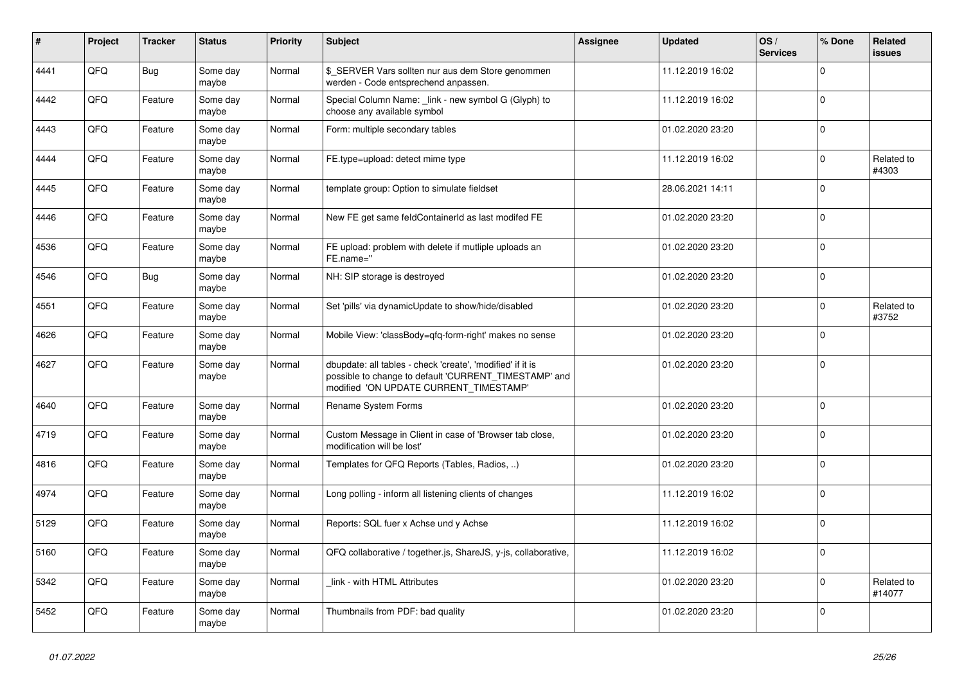| #    | <b>Project</b> | <b>Tracker</b> | <b>Status</b>     | <b>Priority</b> | <b>Subject</b>                                                                                                                                                | Assignee | <b>Updated</b>   | OS/<br><b>Services</b> | % Done      | Related<br><b>issues</b> |
|------|----------------|----------------|-------------------|-----------------|---------------------------------------------------------------------------------------------------------------------------------------------------------------|----------|------------------|------------------------|-------------|--------------------------|
| 4441 | QFQ            | <b>Bug</b>     | Some day<br>maybe | Normal          | \$_SERVER Vars sollten nur aus dem Store genommen<br>werden - Code entsprechend anpassen.                                                                     |          | 11.12.2019 16:02 |                        | $\mathbf 0$ |                          |
| 4442 | QFQ            | Feature        | Some day<br>maybe | Normal          | Special Column Name: link - new symbol G (Glyph) to<br>choose any available symbol                                                                            |          | 11.12.2019 16:02 |                        | $\mathbf 0$ |                          |
| 4443 | QFQ            | Feature        | Some day<br>maybe | Normal          | Form: multiple secondary tables                                                                                                                               |          | 01.02.2020 23:20 |                        | $\mathbf 0$ |                          |
| 4444 | QFQ            | Feature        | Some day<br>maybe | Normal          | FE.type=upload: detect mime type                                                                                                                              |          | 11.12.2019 16:02 |                        | $\mathbf 0$ | Related to<br>#4303      |
| 4445 | QFQ            | Feature        | Some day<br>maybe | Normal          | template group: Option to simulate fieldset                                                                                                                   |          | 28.06.2021 14:11 |                        | $\mathbf 0$ |                          |
| 4446 | QFQ            | Feature        | Some day<br>maybe | Normal          | New FE get same feldContainerId as last modifed FE                                                                                                            |          | 01.02.2020 23:20 |                        | $\mathbf 0$ |                          |
| 4536 | QFQ            | Feature        | Some day<br>maybe | Normal          | FE upload: problem with delete if mutliple uploads an<br>FE.name="                                                                                            |          | 01.02.2020 23:20 |                        | $\mathbf 0$ |                          |
| 4546 | QFQ            | Bug            | Some day<br>maybe | Normal          | NH: SIP storage is destroyed                                                                                                                                  |          | 01.02.2020 23:20 |                        | $\mathbf 0$ |                          |
| 4551 | QFQ            | Feature        | Some day<br>maybe | Normal          | Set 'pills' via dynamicUpdate to show/hide/disabled                                                                                                           |          | 01.02.2020 23:20 |                        | $\mathbf 0$ | Related to<br>#3752      |
| 4626 | QFQ            | Feature        | Some day<br>maybe | Normal          | Mobile View: 'classBody=qfq-form-right' makes no sense                                                                                                        |          | 01.02.2020 23:20 |                        | $\pmb{0}$   |                          |
| 4627 | QFQ            | Feature        | Some day<br>maybe | Normal          | dbupdate: all tables - check 'create', 'modified' if it is<br>possible to change to default 'CURRENT_TIMESTAMP' and<br>modified 'ON UPDATE CURRENT TIMESTAMP' |          | 01.02.2020 23:20 |                        | $\mathbf 0$ |                          |
| 4640 | QFQ            | Feature        | Some day<br>maybe | Normal          | Rename System Forms                                                                                                                                           |          | 01.02.2020 23:20 |                        | $\mathbf 0$ |                          |
| 4719 | QFQ            | Feature        | Some day<br>maybe | Normal          | Custom Message in Client in case of 'Browser tab close,<br>modification will be lost'                                                                         |          | 01.02.2020 23:20 |                        | $\mathbf 0$ |                          |
| 4816 | QFQ            | Feature        | Some day<br>maybe | Normal          | Templates for QFQ Reports (Tables, Radios, )                                                                                                                  |          | 01.02.2020 23:20 |                        | $\mathbf 0$ |                          |
| 4974 | QFQ            | Feature        | Some day<br>maybe | Normal          | Long polling - inform all listening clients of changes                                                                                                        |          | 11.12.2019 16:02 |                        | $\mathbf 0$ |                          |
| 5129 | QFQ            | Feature        | Some day<br>maybe | Normal          | Reports: SQL fuer x Achse und y Achse                                                                                                                         |          | 11.12.2019 16:02 |                        | $\mathbf 0$ |                          |
| 5160 | QFQ            | Feature        | Some day<br>maybe | Normal          | QFQ collaborative / together.js, ShareJS, y-js, collaborative,                                                                                                |          | 11.12.2019 16:02 |                        | $\Omega$    |                          |
| 5342 | QFQ            | Feature        | Some day<br>maybe | Normal          | link - with HTML Attributes                                                                                                                                   |          | 01.02.2020 23:20 |                        | $\mathbf 0$ | Related to<br>#14077     |
| 5452 | QFQ            | Feature        | Some day<br>maybe | Normal          | Thumbnails from PDF: bad quality                                                                                                                              |          | 01.02.2020 23:20 |                        | $\mathbf 0$ |                          |